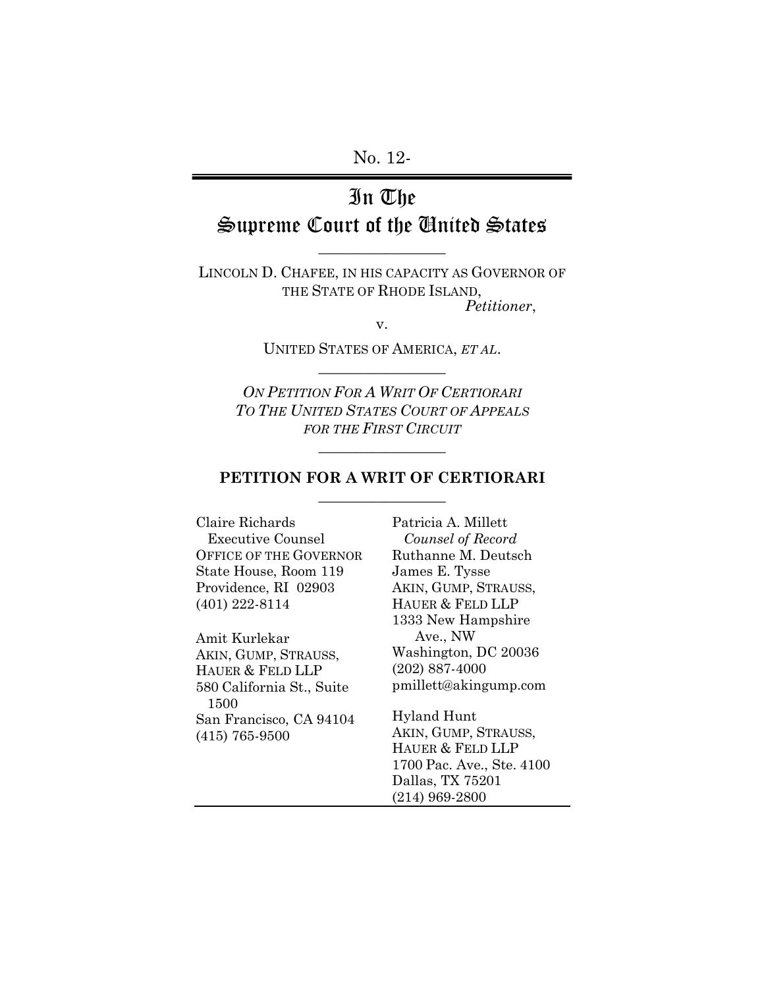No. 12-

# In The Supreme Court of the United States

 $\overline{\phantom{a}}$  , where  $\overline{\phantom{a}}$ 

LINCOLN D. CHAFEE, IN HIS CAPACITY AS GOVERNOR OF THE STATE OF RHODE ISLAND, *Petitioner*,

UNITED STATES OF AMERICA, *ET AL*.  $\overline{\phantom{a}}$  , where  $\overline{\phantom{a}}$ 

v.

*ON PETITION FOR A WRIT OF CERTIORARI TO THE UNITED STATES COURT OF APPEALS FOR THE FIRST CIRCUIT*

### **PETITION FOR A WRIT OF CERTIORARI**  $\overline{\phantom{a}}$  , where  $\overline{\phantom{a}}$

 $\overline{\phantom{a}}$  , where  $\overline{\phantom{a}}$ 

Claire Richards Executive Counsel OFFICE OF THE GOVERNOR State House, Room 119 Providence, RI 02903 (401) 222-8114

Amit Kurlekar AKIN, GUMP, STRAUSS, HAUER & FELD LLP 580 California St., Suite 1500 San Francisco, CA 94104 (415) 765-9500

Patricia A. Millett *Counsel of Record* Ruthanne M. Deutsch James E. Tysse AKIN, GUMP, STRAUSS, HAUER & FELD LLP 1333 New Hampshire Ave., NW Washington, DC 20036 (202) 887-4000 pmillett@akingump.com

Hyland Hunt AKIN, GUMP, STRAUSS, HAUER & FELD LLP 1700 Pac. Ave., Ste. 4100 Dallas, TX 75201 (214) 969-2800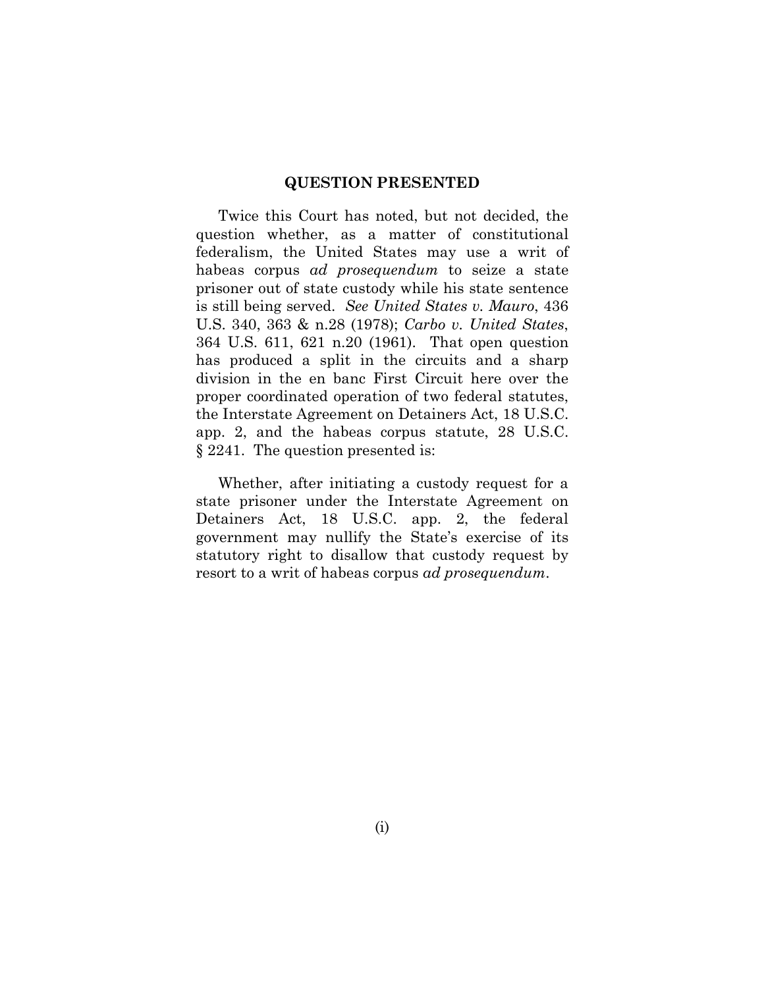#### **QUESTION PRESENTED**

Twice this Court has noted, but not decided, the question whether, as a matter of constitutional federalism, the United States may use a writ of habeas corpus *ad prosequendum* to seize a state prisoner out of state custody while his state sentence is still being served. *See United States v. Mauro*, 436 U.S. 340, 363 & n.28 (1978); *Carbo v. United States*, 364 U.S. 611, 621 n.20 (1961). That open question has produced a split in the circuits and a sharp division in the en banc First Circuit here over the proper coordinated operation of two federal statutes, the Interstate Agreement on Detainers Act, 18 U.S.C. app. 2, and the habeas corpus statute, 28 U.S.C. § 2241. The question presented is:

Whether, after initiating a custody request for a state prisoner under the Interstate Agreement on Detainers Act, 18 U.S.C. app. 2, the federal government may nullify the State's exercise of its statutory right to disallow that custody request by resort to a writ of habeas corpus *ad prosequendum*.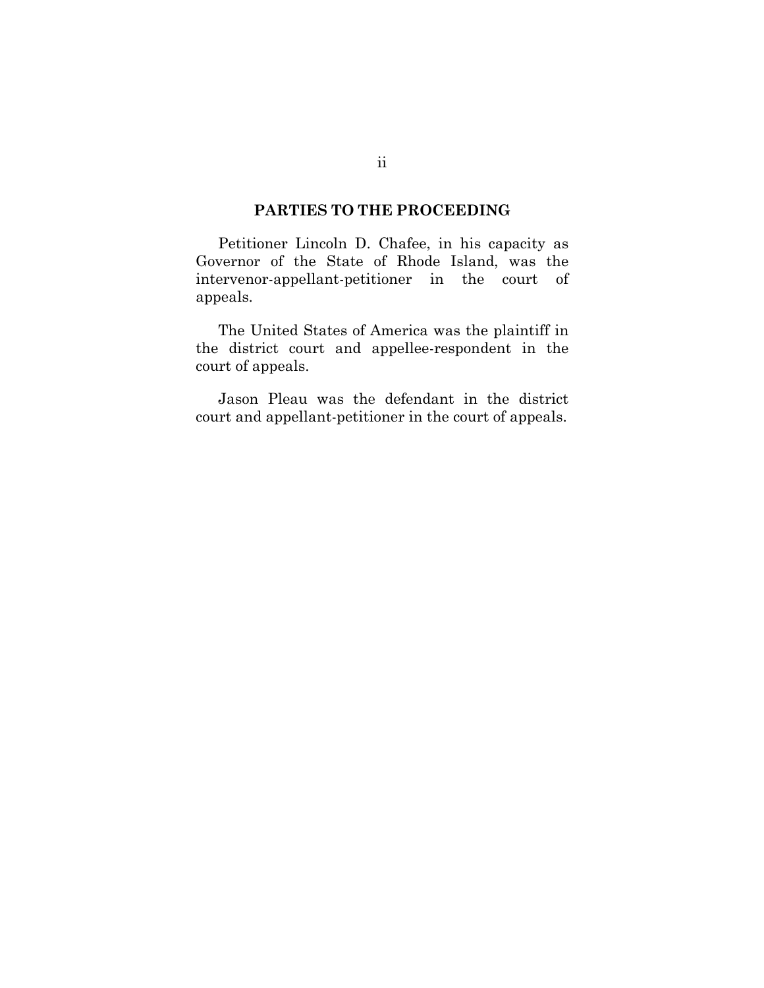### **PARTIES TO THE PROCEEDING**

Petitioner Lincoln D. Chafee, in his capacity as Governor of the State of Rhode Island, was the intervenor-appellant-petitioner in the court of appeals.

The United States of America was the plaintiff in the district court and appellee-respondent in the court of appeals.

Jason Pleau was the defendant in the district court and appellant-petitioner in the court of appeals.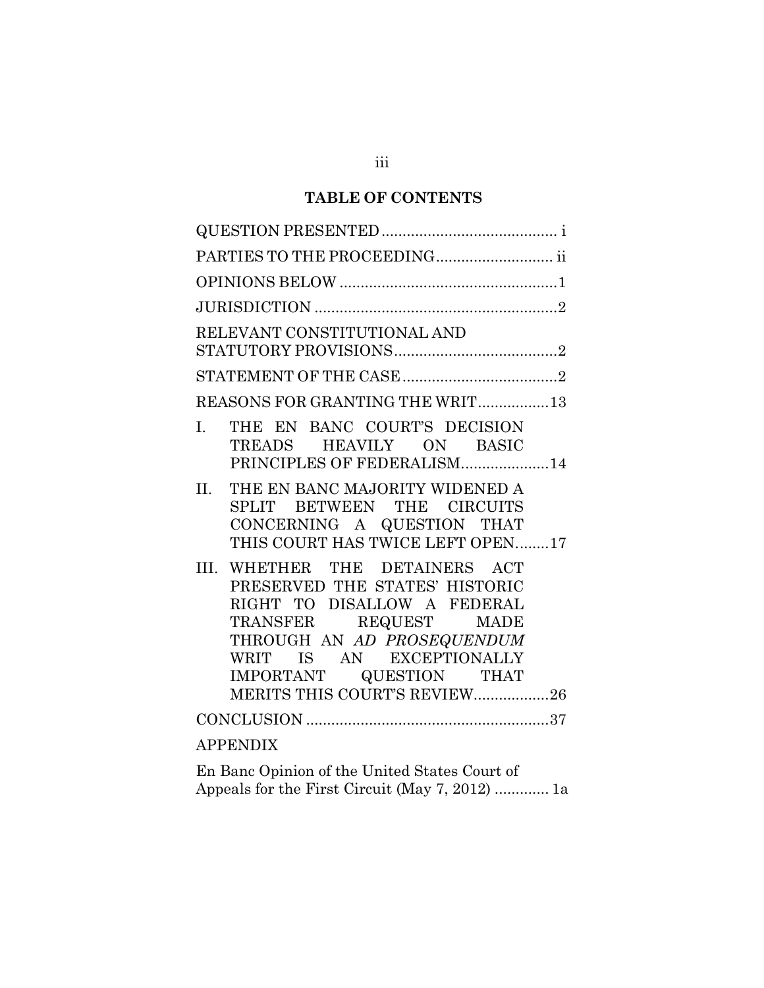# **TABLE OF CONTENTS**

| PARTIES TO THE PROCEEDING ii                                                                                                                                                                                                                  |  |  |  |
|-----------------------------------------------------------------------------------------------------------------------------------------------------------------------------------------------------------------------------------------------|--|--|--|
|                                                                                                                                                                                                                                               |  |  |  |
|                                                                                                                                                                                                                                               |  |  |  |
| RELEVANT CONSTITUTIONAL AND                                                                                                                                                                                                                   |  |  |  |
|                                                                                                                                                                                                                                               |  |  |  |
| REASONS FOR GRANTING THE WRIT13                                                                                                                                                                                                               |  |  |  |
| THE EN BANC COURT'S DECISION<br>$\mathbf{L}$<br>TREADS HEAVILY ON BASIC<br>PRINCIPLES OF FEDERALISM14                                                                                                                                         |  |  |  |
| THE EN BANC MAJORITY WIDENED A<br>II.<br>SPLIT BETWEEN THE CIRCUITS<br>CONCERNING A QUESTION THAT<br>THIS COURT HAS TWICE LEFT OPEN17                                                                                                         |  |  |  |
| III. WHETHER THE DETAINERS ACT<br>PRESERVED THE STATES' HISTORIC<br>RIGHT TO DISALLOW A FEDERAL<br>TRANSFER REQUEST MADE<br>THROUGH AN AD PROSEQUENDUM<br>WRIT IS AN EXCEPTIONALLY<br>IMPORTANT QUESTION THAT<br>MERITS THIS COURT'S REVIEW26 |  |  |  |
|                                                                                                                                                                                                                                               |  |  |  |
| <b>APPENDIX</b>                                                                                                                                                                                                                               |  |  |  |
| $\Gamma_{11}$ , $\Gamma_{22}$ , $\Omega_{12}$ , $\Omega_{23}$ , $\Omega_{11}$ , $\Omega_{12}$ , $\Omega_{13}$ , $\Omega_{14}$ , $\Omega_{15}$ , $\Omega_{16}$ , $\Omega_{17}$                                                                 |  |  |  |

En Banc Opinion of the United States Court of Appeals for the First Circuit (May 7, 2012) ............. 1a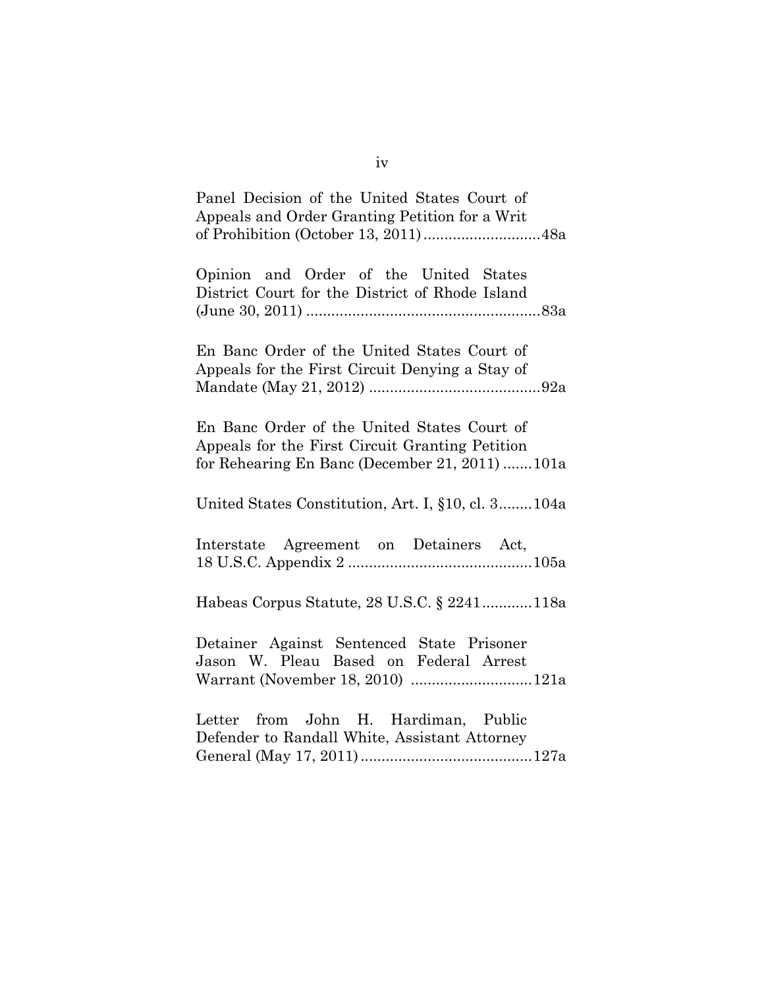| Panel Decision of the United States Court of<br>Appeals and Order Granting Petition for a Writ                                                   |  |  |  |  |
|--------------------------------------------------------------------------------------------------------------------------------------------------|--|--|--|--|
| Opinion and Order of the United States<br>District Court for the District of Rhode Island                                                        |  |  |  |  |
| En Banc Order of the United States Court of<br>Appeals for the First Circuit Denying a Stay of                                                   |  |  |  |  |
| En Banc Order of the United States Court of<br>Appeals for the First Circuit Granting Petition<br>for Rehearing En Banc (December 21, 2011) 101a |  |  |  |  |
| United States Constitution, Art. I, §10, cl. 3104a                                                                                               |  |  |  |  |
| Interstate Agreement on Detainers Act,                                                                                                           |  |  |  |  |
| Habeas Corpus Statute, 28 U.S.C. § 2241118a                                                                                                      |  |  |  |  |
| Detainer Against Sentenced State Prisoner<br>Jason W. Pleau Based on Federal Arrest                                                              |  |  |  |  |
| Letter from John H. Hardiman, Public<br>Defender to Randall White, Assistant Attorney                                                            |  |  |  |  |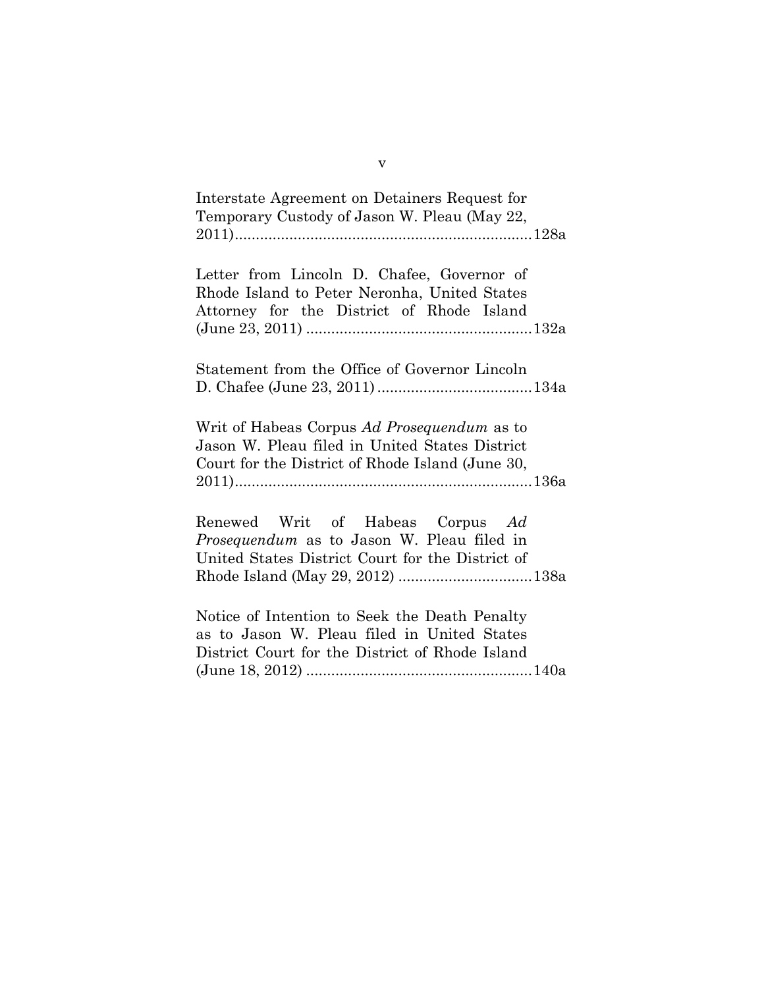| Interstate Agreement on Detainers Request for<br>Temporary Custody of Jason W. Pleau (May 22,                                                     |
|---------------------------------------------------------------------------------------------------------------------------------------------------|
| Letter from Lincoln D. Chafee, Governor of<br>Rhode Island to Peter Neronha, United States<br>Attorney for the District of Rhode Island           |
| Statement from the Office of Governor Lincoln                                                                                                     |
| Writ of Habeas Corpus Ad Prosequendum as to<br>Jason W. Pleau filed in United States District<br>Court for the District of Rhode Island (June 30, |
| Renewed Writ of Habeas Corpus Ad<br>Prosequendum as to Jason W. Pleau filed in<br>United States District Court for the District of                |
| Notice of Intention to Seek the Death Penalty<br>as to Jason W. Pleau filed in United States<br>District Court for the District of Rhode Island   |

v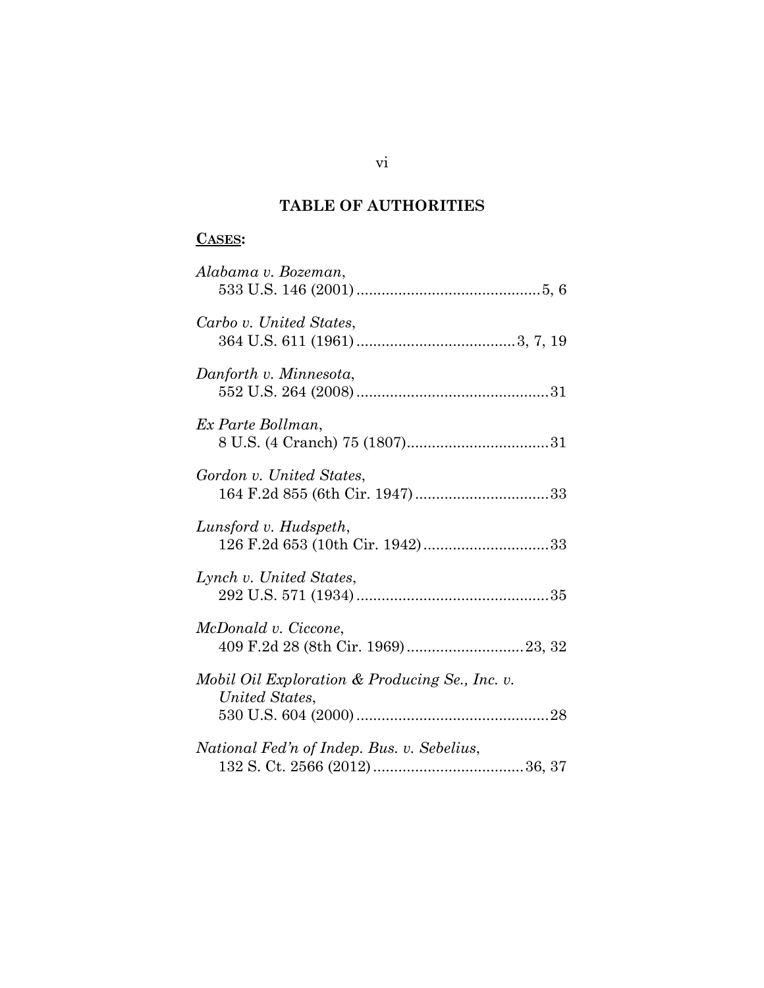# **TABLE OF AUTHORITIES**

# **CASES:**

| Alabama v. Bozeman,                                              |
|------------------------------------------------------------------|
| Carbo v. United States,                                          |
| Danforth v. Minnesota,                                           |
| Ex Parte Bollman,                                                |
| Gordon v. United States,                                         |
| Lunsford v. Hudspeth,<br>126 F.2d 653 (10th Cir. 1942)33         |
| Lynch v. United States,                                          |
| McDonald v. Ciccone,                                             |
| Mobil Oil Exploration & Producing Se., Inc. v.<br>United States, |
| National Fed'n of Indep. Bus. v. Sebelius,                       |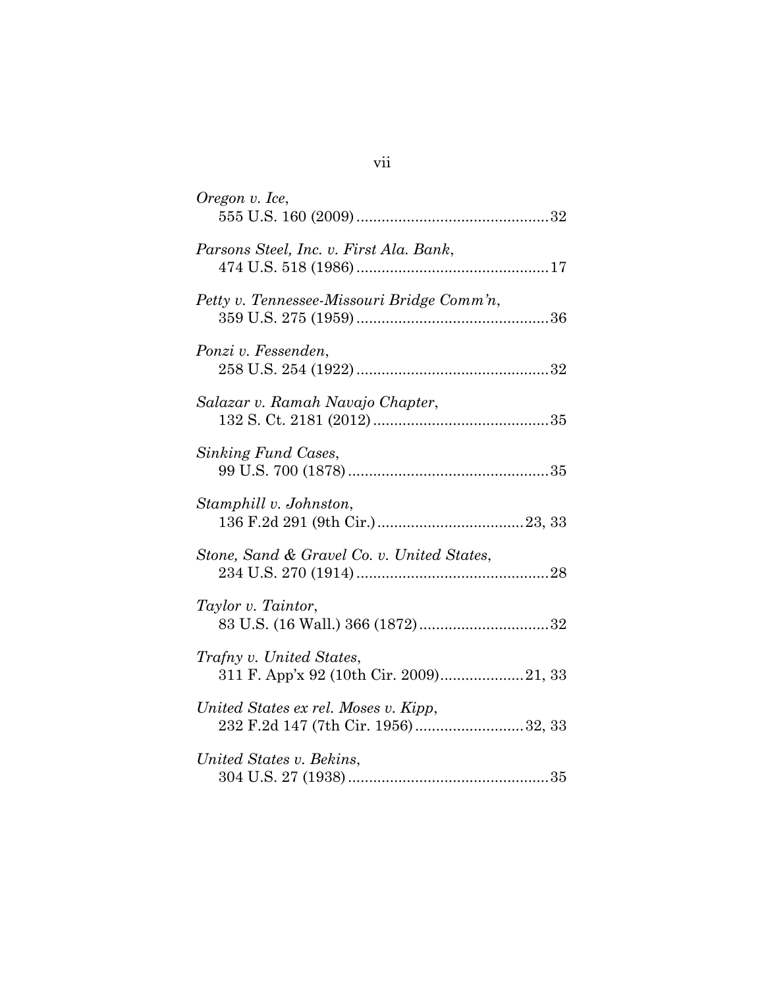| Oregon v. Ice,                                                             |  |
|----------------------------------------------------------------------------|--|
| Parsons Steel, Inc. v. First Ala. Bank,                                    |  |
| Petty v. Tennessee-Missouri Bridge Comm'n,                                 |  |
| Ponzi v. Fessenden,                                                        |  |
| Salazar v. Ramah Navajo Chapter,                                           |  |
| Sinking Fund Cases,                                                        |  |
| Stamphill v. Johnston,                                                     |  |
| Stone, Sand & Gravel Co. v. United States,                                 |  |
| Taylor v. Taintor,                                                         |  |
| <i>Trafny v. United States,</i><br>311 F. App'x 92 (10th Cir. 2009)21, 33  |  |
| United States ex rel. Moses v. Kipp,<br>232 F.2d 147 (7th Cir. 1956)32, 33 |  |
| United States v. Bekins,                                                   |  |

# vii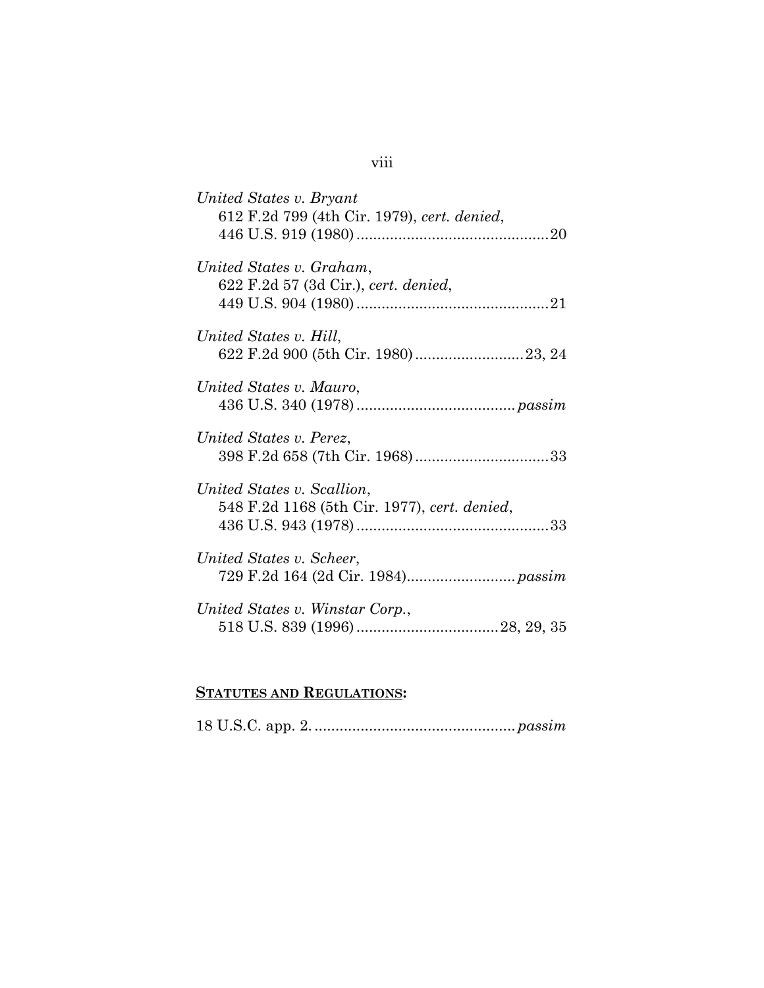| United States v. Bryant<br>612 F.2d 799 (4th Cir. 1979), cert. denied,     |
|----------------------------------------------------------------------------|
| United States v. Graham,<br>622 F.2d 57 (3d Cir.), cert. denied,           |
| United States v. Hill,                                                     |
| United States v. Mauro,                                                    |
| United States v. Perez,<br>398 F.2d 658 (7th Cir. 1968)33                  |
| United States v. Scallion,<br>548 F.2d 1168 (5th Cir. 1977), cert. denied, |
| United States v. Scheer,                                                   |
| United States v. Winstar Corp.,                                            |
|                                                                            |

# **STATUTES AND REGULATIONS:**

# viii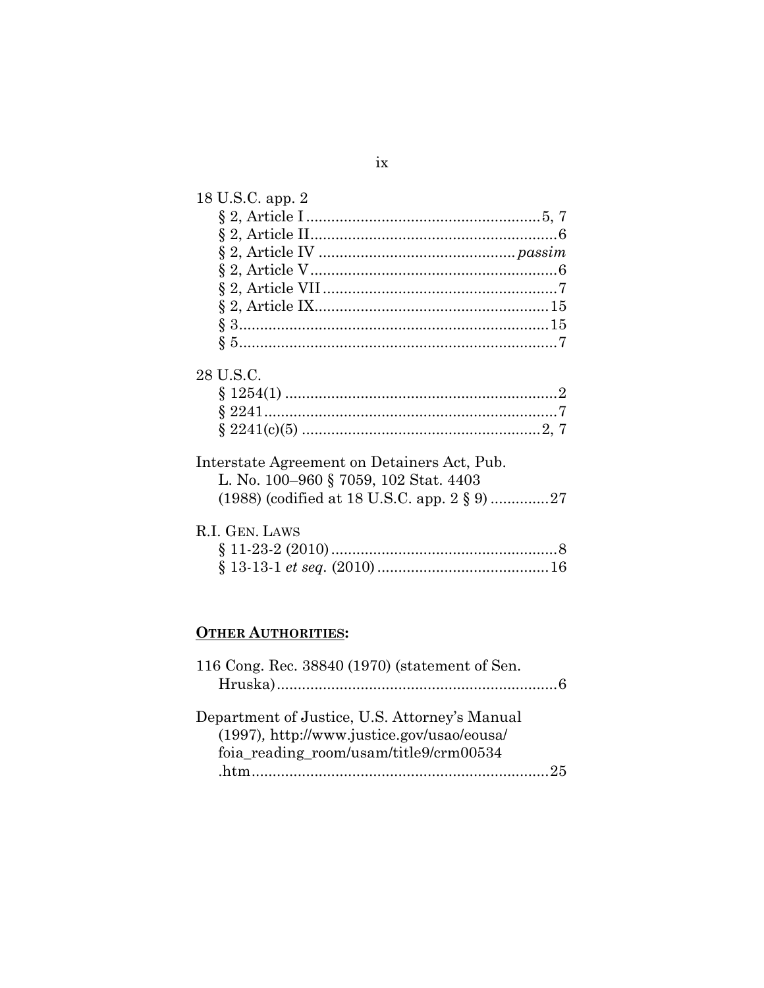| 18 U.S.C. app. 2                                                                                  |  |
|---------------------------------------------------------------------------------------------------|--|
|                                                                                                   |  |
|                                                                                                   |  |
|                                                                                                   |  |
|                                                                                                   |  |
|                                                                                                   |  |
|                                                                                                   |  |
|                                                                                                   |  |
|                                                                                                   |  |
| 28 U.S.C.<br>Interstate Agreement on Detainers Act, Pub.<br>L. No. 100–960 § 7059, 102 Stat. 4403 |  |
| R.I. GEN. LAWS                                                                                    |  |

# **OTHER AUTHORITIES:**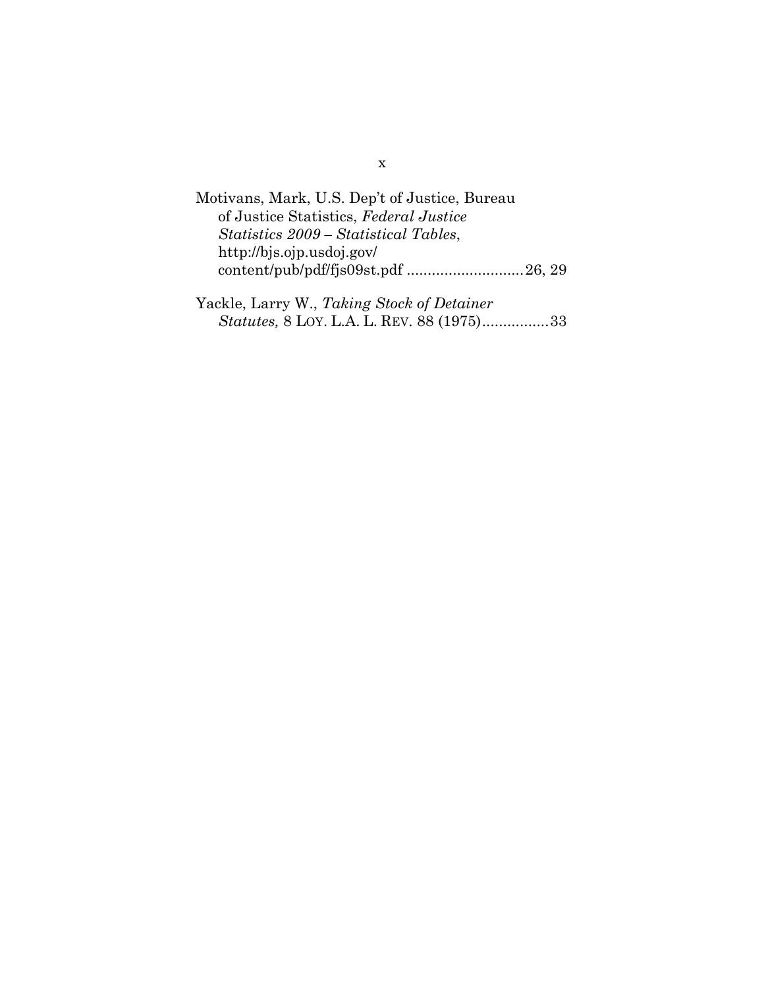| Motivans, Mark, U.S. Dep't of Justice, Bureau |  |
|-----------------------------------------------|--|
| of Justice Statistics, Federal Justice        |  |
| Statistics 2009 – Statistical Tables,         |  |
| http://bjs.ojp.usdoj.gov/                     |  |
|                                               |  |
|                                               |  |

| Yackle, Larry W., Taking Stock of Detainer |                                                   |
|--------------------------------------------|---------------------------------------------------|
|                                            | <i>Statutes, 8 LOY. L.A. L. REV. 88 (1975)</i> 33 |

## x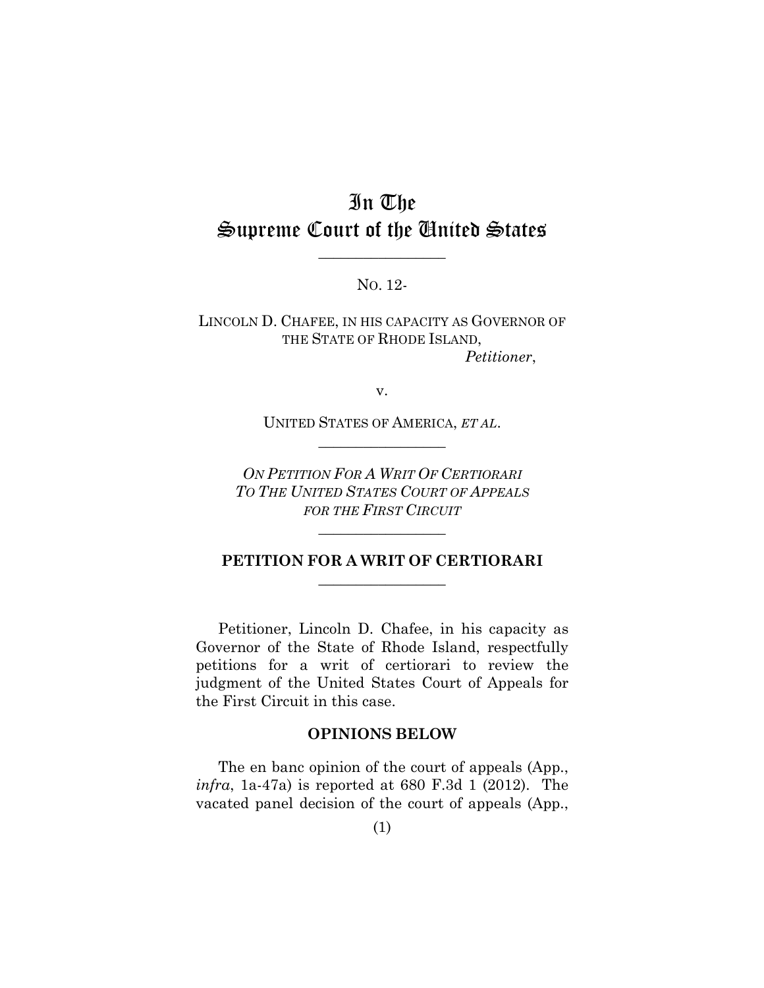# In The Supreme Court of the United States

NO. 12-

 $\overline{\phantom{a}}$  , where  $\overline{\phantom{a}}$ 

LINCOLN D. CHAFEE, IN HIS CAPACITY AS GOVERNOR OF THE STATE OF RHODE ISLAND, *Petitioner*,

v.

UNITED STATES OF AMERICA, *ET AL*.  $\overline{\phantom{a}}$  , where  $\overline{\phantom{a}}$ 

*ON PETITION FOR A WRIT OF CERTIORARI TO THE UNITED STATES COURT OF APPEALS FOR THE FIRST CIRCUIT*

### **PETITION FOR A WRIT OF CERTIORARI**  $\overline{\phantom{a}}$  , where  $\overline{\phantom{a}}$

 $\overline{\phantom{a}}$  , where  $\overline{\phantom{a}}$ 

Petitioner, Lincoln D. Chafee, in his capacity as Governor of the State of Rhode Island, respectfully petitions for a writ of certiorari to review the judgment of the United States Court of Appeals for the First Circuit in this case.

### **OPINIONS BELOW**

The en banc opinion of the court of appeals (App., *infra*, 1a-47a) is reported at 680 F.3d 1 (2012). The vacated panel decision of the court of appeals (App.,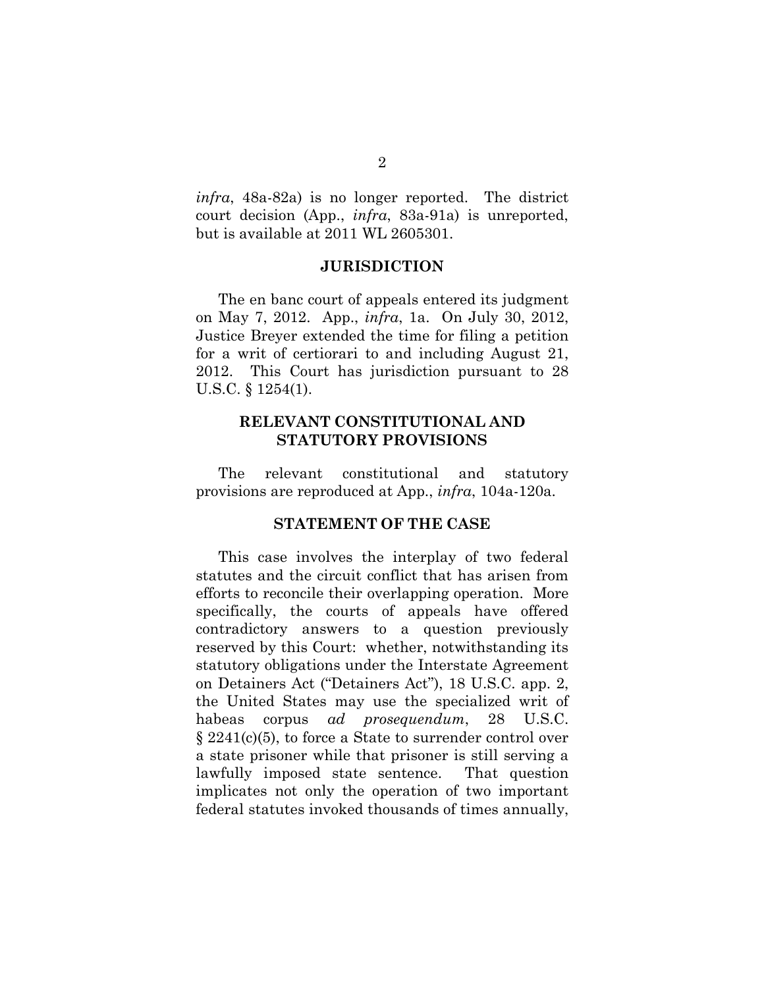*infra*, 48a-82a) is no longer reported. The district court decision (App., *infra*, 83a-91a) is unreported, but is available at 2011 WL 2605301.

#### **JURISDICTION**

The en banc court of appeals entered its judgment on May 7, 2012. App., *infra*, 1a. On July 30, 2012, Justice Breyer extended the time for filing a petition for a writ of certiorari to and including August 21, 2012. This Court has jurisdiction pursuant to 28 U.S.C. § 1254(1).

### **RELEVANT CONSTITUTIONAL AND STATUTORY PROVISIONS**

The relevant constitutional and statutory provisions are reproduced at App., *infra*, 104a-120a.

#### **STATEMENT OF THE CASE**

This case involves the interplay of two federal statutes and the circuit conflict that has arisen from efforts to reconcile their overlapping operation. More specifically, the courts of appeals have offered contradictory answers to a question previously reserved by this Court: whether, notwithstanding its statutory obligations under the Interstate Agreement on Detainers Act ("Detainers Act"), 18 U.S.C. app. 2, the United States may use the specialized writ of habeas corpus *ad prosequendum*, 28 U.S.C. § 2241(c)(5), to force a State to surrender control over a state prisoner while that prisoner is still serving a lawfully imposed state sentence. That question implicates not only the operation of two important federal statutes invoked thousands of times annually,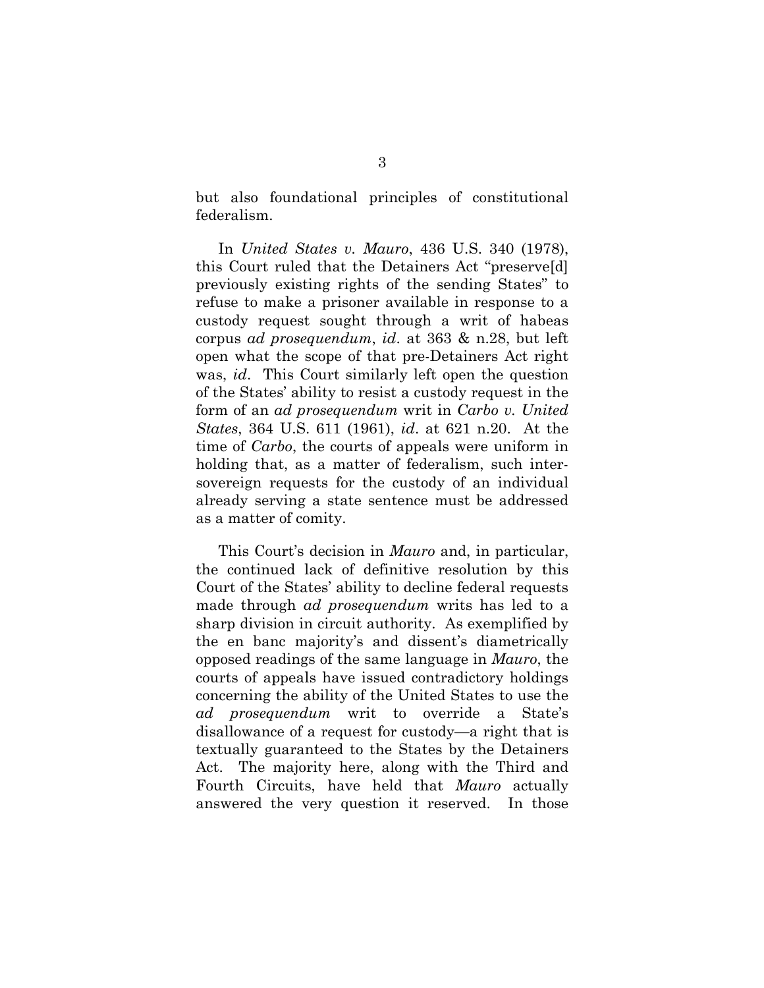but also foundational principles of constitutional federalism.

In *United States v. Mauro*, 436 U.S. 340 (1978), this Court ruled that the Detainers Act "preserve[d] previously existing rights of the sending States" to refuse to make a prisoner available in response to a custody request sought through a writ of habeas corpus *ad prosequendum*, *id*. at 363 & n.28, but left open what the scope of that pre-Detainers Act right was, *id*. This Court similarly left open the question of the States' ability to resist a custody request in the form of an *ad prosequendum* writ in *Carbo v. United States*, 364 U.S. 611 (1961), *id*. at 621 n.20. At the time of *Carbo*, the courts of appeals were uniform in holding that, as a matter of federalism, such intersovereign requests for the custody of an individual already serving a state sentence must be addressed as a matter of comity.

This Court's decision in *Mauro* and, in particular, the continued lack of definitive resolution by this Court of the States' ability to decline federal requests made through *ad prosequendum* writs has led to a sharp division in circuit authority. As exemplified by the en banc majority's and dissent's diametrically opposed readings of the same language in *Mauro*, the courts of appeals have issued contradictory holdings concerning the ability of the United States to use the *ad prosequendum* writ to override a State's disallowance of a request for custody—a right that is textually guaranteed to the States by the Detainers Act. The majority here, along with the Third and Fourth Circuits, have held that *Mauro* actually answered the very question it reserved. In those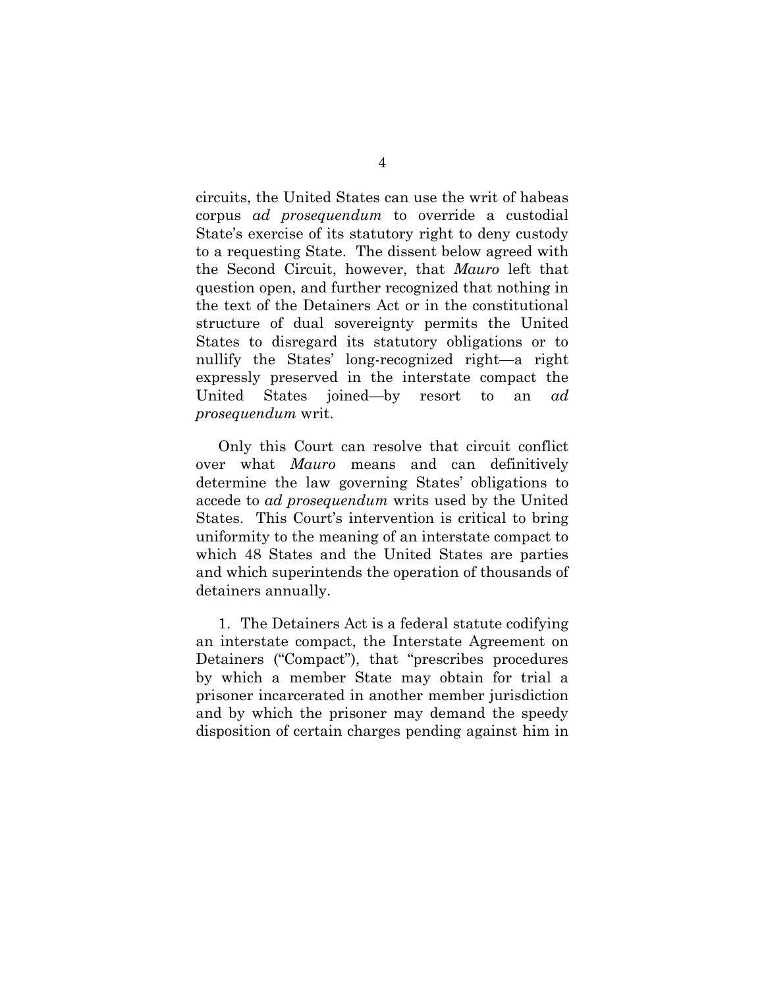circuits, the United States can use the writ of habeas corpus *ad prosequendum* to override a custodial State's exercise of its statutory right to deny custody to a requesting State. The dissent below agreed with the Second Circuit, however, that *Mauro* left that question open, and further recognized that nothing in the text of the Detainers Act or in the constitutional structure of dual sovereignty permits the United States to disregard its statutory obligations or to nullify the States' long-recognized right—a right expressly preserved in the interstate compact the United States joined—by resort to an *ad prosequendum* writ.

Only this Court can resolve that circuit conflict over what *Mauro* means and can definitively determine the law governing States' obligations to accede to *ad prosequendum* writs used by the United States. This Court's intervention is critical to bring uniformity to the meaning of an interstate compact to which 48 States and the United States are parties and which superintends the operation of thousands of detainers annually.

1. The Detainers Act is a federal statute codifying an interstate compact, the Interstate Agreement on Detainers ("Compact"), that "prescribes procedures by which a member State may obtain for trial a prisoner incarcerated in another member jurisdiction and by which the prisoner may demand the speedy disposition of certain charges pending against him in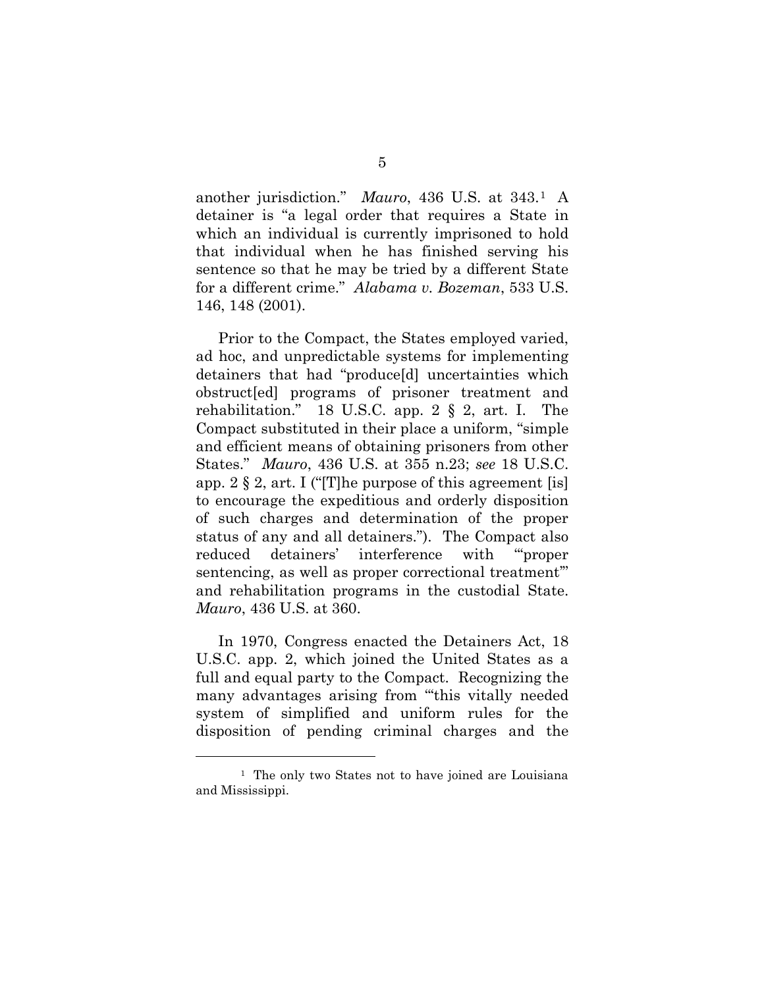another jurisdiction." *Mauro*, 436 U.S. at 343.1 A detainer is "a legal order that requires a State in which an individual is currently imprisoned to hold that individual when he has finished serving his sentence so that he may be tried by a different State for a different crime." *Alabama v. Bozeman*, 533 U.S. 146, 148 (2001).

Prior to the Compact, the States employed varied, ad hoc, and unpredictable systems for implementing detainers that had "produce[d] uncertainties which obstruct[ed] programs of prisoner treatment and rehabilitation." 18 U.S.C. app.  $2 \S 2$ , art. I. The Compact substituted in their place a uniform, "simple and efficient means of obtaining prisoners from other States." *Mauro*, 436 U.S. at 355 n.23; *see* 18 U.S.C. app.  $2 \S 2$ , art. I ("The purpose of this agreement [is] to encourage the expeditious and orderly disposition of such charges and determination of the proper status of any and all detainers."). The Compact also reduced detainers' interference with "'proper sentencing, as well as proper correctional treatment'" and rehabilitation programs in the custodial State. *Mauro*, 436 U.S. at 360.

In 1970, Congress enacted the Detainers Act, 18 U.S.C. app. 2, which joined the United States as a full and equal party to the Compact. Recognizing the many advantages arising from "this vitally needed system of simplified and uniform rules for the disposition of pending criminal charges and the

<u>.</u>

<sup>1</sup> The only two States not to have joined are Louisiana and Mississippi.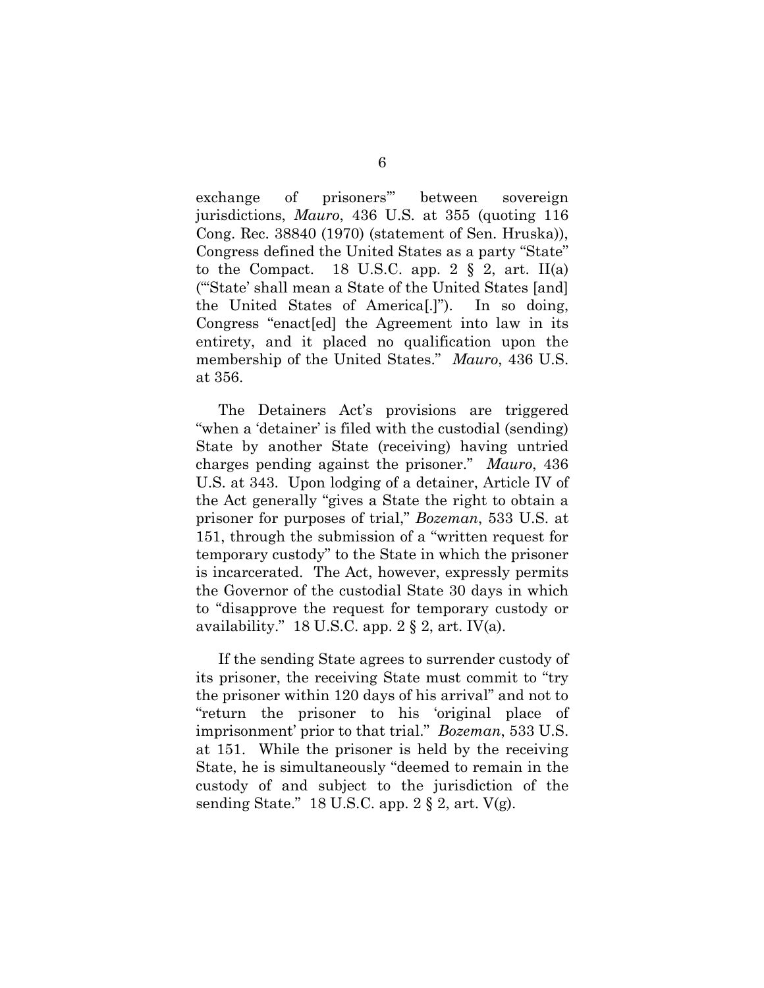exchange of prisoners'" between sovereign jurisdictions, *Mauro*, 436 U.S. at 355 (quoting 116 Cong. Rec. 38840 (1970) (statement of Sen. Hruska)), Congress defined the United States as a party "State" to the Compact. 18 U.S.C. app. 2  $\S$  2, art. II(a) ("'State' shall mean a State of the United States [and] the United States of America[.]"). In so doing, Congress "enact[ed] the Agreement into law in its entirety, and it placed no qualification upon the membership of the United States." *Mauro*, 436 U.S. at 356.

The Detainers Act's provisions are triggered "when a 'detainer' is filed with the custodial (sending) State by another State (receiving) having untried charges pending against the prisoner." *Mauro*, 436 U.S. at 343. Upon lodging of a detainer, Article IV of the Act generally "gives a State the right to obtain a prisoner for purposes of trial," *Bozeman*, 533 U.S. at 151, through the submission of a "written request for temporary custody" to the State in which the prisoner is incarcerated. The Act, however, expressly permits the Governor of the custodial State 30 days in which to "disapprove the request for temporary custody or availability." 18 U.S.C. app.  $2 \S 2$ , art. IV(a).

If the sending State agrees to surrender custody of its prisoner, the receiving State must commit to "try the prisoner within 120 days of his arrival" and not to "return the prisoner to his 'original place of imprisonment' prior to that trial." *Bozeman*, 533 U.S. at 151. While the prisoner is held by the receiving State, he is simultaneously "deemed to remain in the custody of and subject to the jurisdiction of the sending State." 18 U.S.C. app.  $2 \S 2$ , art.  $V(g)$ .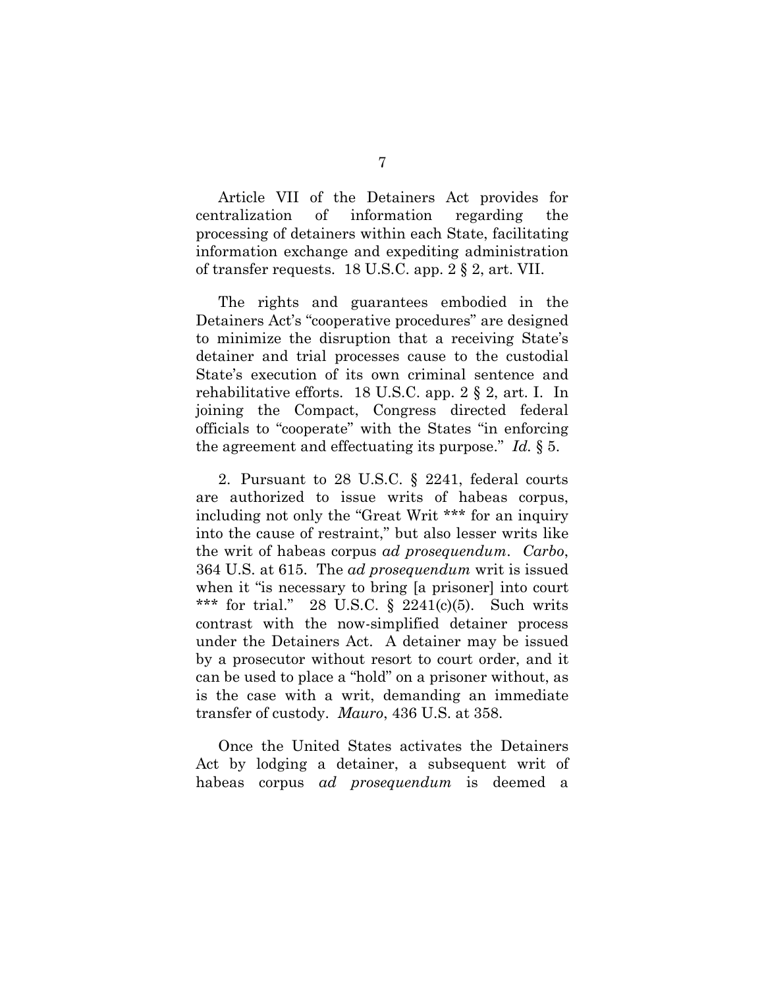Article VII of the Detainers Act provides for centralization of information regarding the processing of detainers within each State, facilitating information exchange and expediting administration of transfer requests. 18 U.S.C. app. 2 § 2, art. VII.

The rights and guarantees embodied in the Detainers Act's "cooperative procedures" are designed to minimize the disruption that a receiving State's detainer and trial processes cause to the custodial State's execution of its own criminal sentence and rehabilitative efforts. 18 U.S.C. app. 2 § 2, art. I. In joining the Compact, Congress directed federal officials to "cooperate" with the States "in enforcing the agreement and effectuating its purpose." *Id.* § 5.

2. Pursuant to 28 U.S.C. § 2241, federal courts are authorized to issue writs of habeas corpus, including not only the "Great Writ \*\*\* for an inquiry into the cause of restraint," but also lesser writs like the writ of habeas corpus *ad prosequendum*. *Carbo*, 364 U.S. at 615. The *ad prosequendum* writ is issued when it "is necessary to bring [a prisoner] into court \*\*\* for trial." 28 U.S.C.  $\S$  2241(c)(5). Such writs contrast with the now-simplified detainer process under the Detainers Act. A detainer may be issued by a prosecutor without resort to court order, and it can be used to place a "hold" on a prisoner without, as is the case with a writ, demanding an immediate transfer of custody. *Mauro*, 436 U.S. at 358.

Once the United States activates the Detainers Act by lodging a detainer, a subsequent writ of habeas corpus *ad prosequendum* is deemed a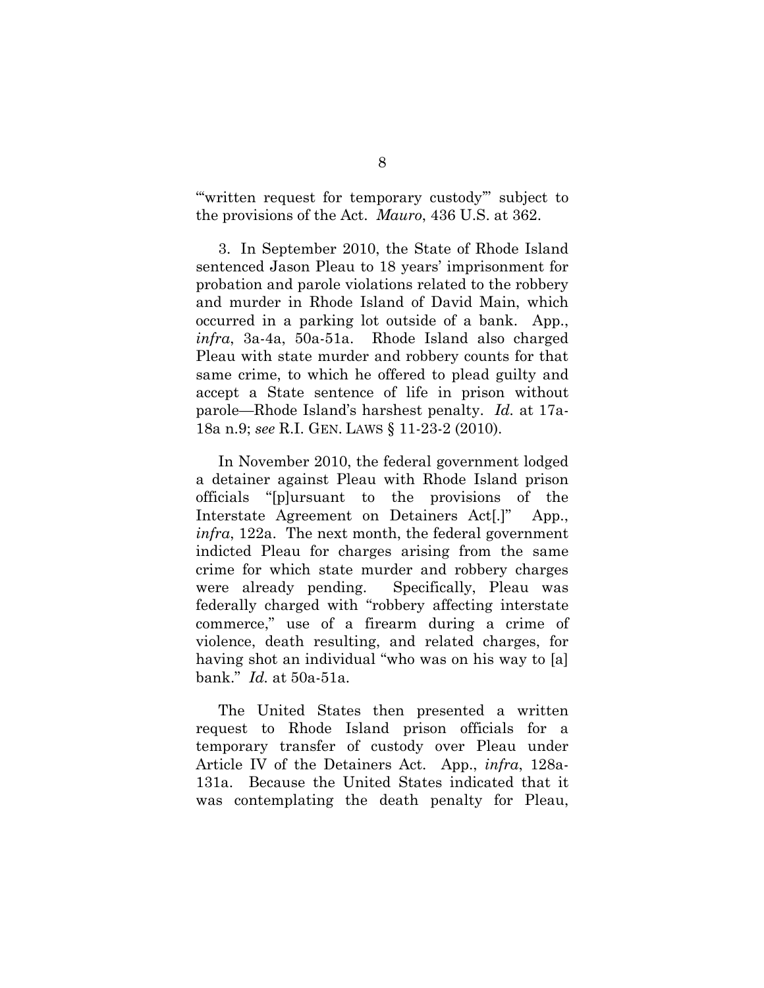"'written request for temporary custody'" subject to the provisions of the Act. *Mauro*, 436 U.S. at 362.

3. In September 2010, the State of Rhode Island sentenced Jason Pleau to 18 years' imprisonment for probation and parole violations related to the robbery and murder in Rhode Island of David Main, which occurred in a parking lot outside of a bank. App., *infra*, 3a-4a, 50a-51a. Rhode Island also charged Pleau with state murder and robbery counts for that same crime, to which he offered to plead guilty and accept a State sentence of life in prison without parole—Rhode Island's harshest penalty. *Id.* at 17a-18a n.9; *see* R.I. GEN. LAWS § 11-23-2 (2010).

In November 2010, the federal government lodged a detainer against Pleau with Rhode Island prison officials "[p]ursuant to the provisions of the Interstate Agreement on Detainers Act<sup>[1]</sup> App., *infra*, 122a. The next month, the federal government indicted Pleau for charges arising from the same crime for which state murder and robbery charges were already pending. Specifically, Pleau was federally charged with "robbery affecting interstate commerce," use of a firearm during a crime of violence, death resulting, and related charges, for having shot an individual "who was on his way to [a] bank." *Id.* at 50a-51a.

The United States then presented a written request to Rhode Island prison officials for a temporary transfer of custody over Pleau under Article IV of the Detainers Act. App., *infra*, 128a-131a. Because the United States indicated that it was contemplating the death penalty for Pleau,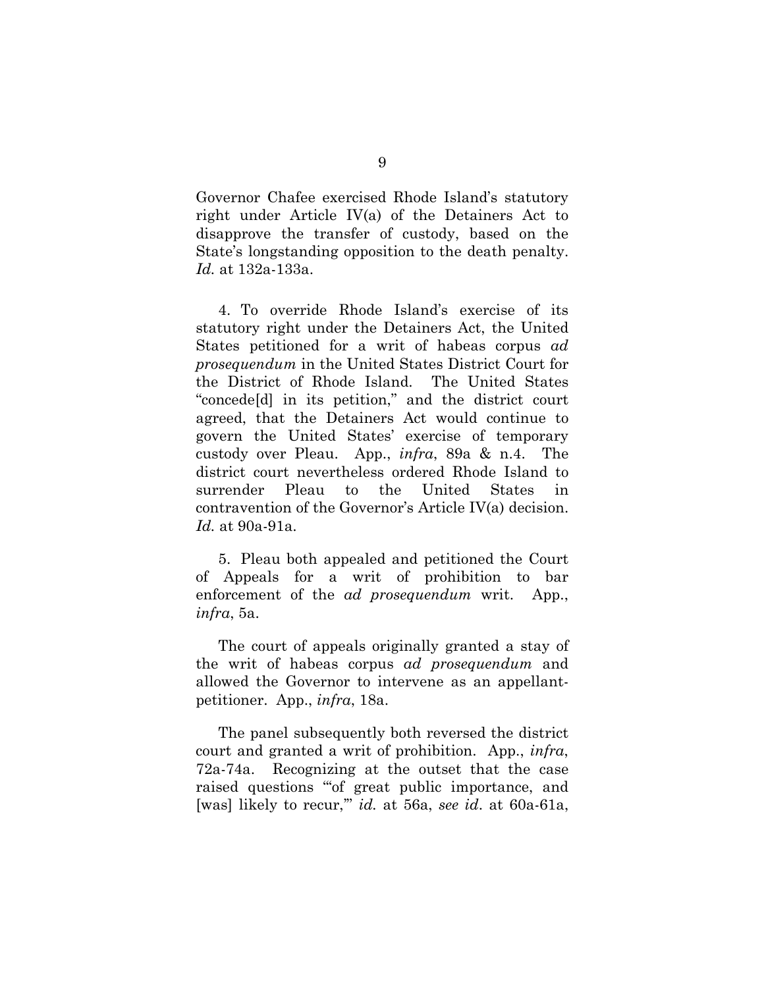Governor Chafee exercised Rhode Island's statutory right under Article IV(a) of the Detainers Act to disapprove the transfer of custody, based on the State's longstanding opposition to the death penalty. *Id.* at 132a-133a.

4. To override Rhode Island's exercise of its statutory right under the Detainers Act, the United States petitioned for a writ of habeas corpus *ad prosequendum* in the United States District Court for the District of Rhode Island. The United States "concede[d] in its petition," and the district court agreed, that the Detainers Act would continue to govern the United States' exercise of temporary custody over Pleau. App., *infra*, 89a & n.4. The district court nevertheless ordered Rhode Island to surrender Pleau to the United States in contravention of the Governor's Article IV(a) decision. *Id.* at 90a-91a.

5. Pleau both appealed and petitioned the Court of Appeals for a writ of prohibition to bar enforcement of the *ad prosequendum* writ. App., *infra*, 5a.

The court of appeals originally granted a stay of the writ of habeas corpus *ad prosequendum* and allowed the Governor to intervene as an appellantpetitioner. App., *infra*, 18a.

The panel subsequently both reversed the district court and granted a writ of prohibition. App., *infra*, 72a-74a. Recognizing at the outset that the case raised questions "'of great public importance, and [was] likely to recur,'" *id.* at 56a, *see id*. at 60a-61a,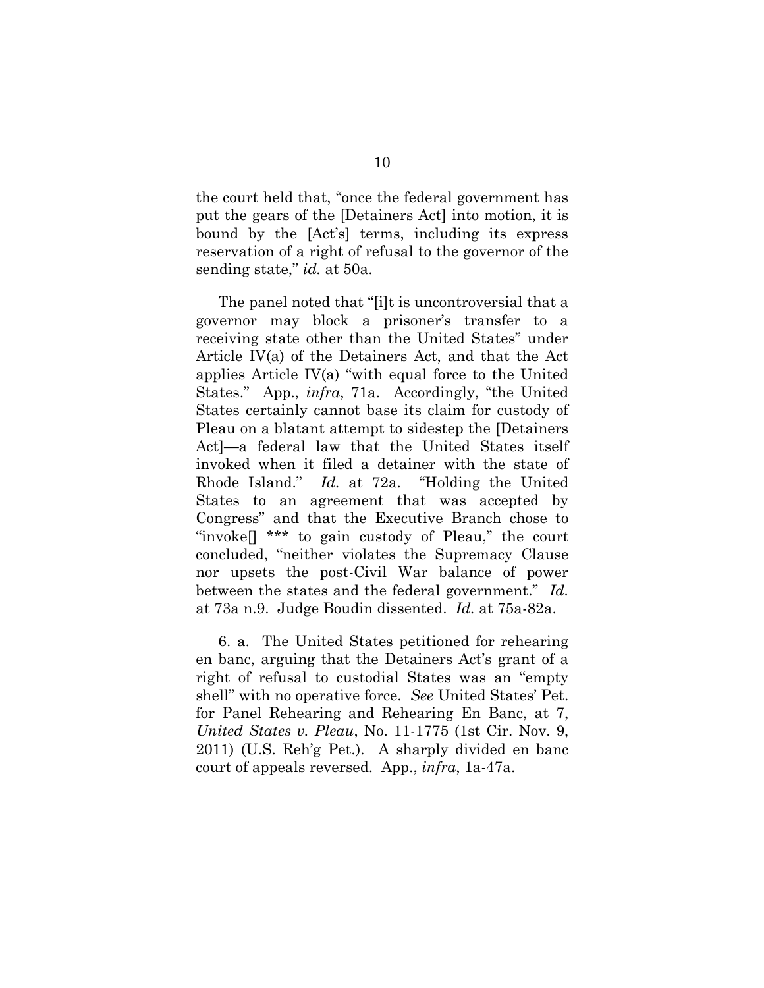the court held that, "once the federal government has put the gears of the [Detainers Act] into motion, it is bound by the [Act's] terms, including its express reservation of a right of refusal to the governor of the sending state," *id.* at 50a.

The panel noted that "[i]t is uncontroversial that a governor may block a prisoner's transfer to a receiving state other than the United States" under Article IV(a) of the Detainers Act, and that the Act applies Article IV(a) "with equal force to the United States." App., *infra*, 71a. Accordingly, "the United States certainly cannot base its claim for custody of Pleau on a blatant attempt to sidestep the [Detainers Act]—a federal law that the United States itself invoked when it filed a detainer with the state of Rhode Island." *Id.* at 72a. "Holding the United States to an agreement that was accepted by Congress" and that the Executive Branch chose to "invoke[] \*\*\* to gain custody of Pleau," the court concluded, "neither violates the Supremacy Clause nor upsets the post-Civil War balance of power between the states and the federal government." *Id.* at 73a n.9. Judge Boudin dissented. *Id.* at 75a-82a.

6. a. The United States petitioned for rehearing en banc, arguing that the Detainers Act's grant of a right of refusal to custodial States was an "empty shell" with no operative force. *See* United States' Pet. for Panel Rehearing and Rehearing En Banc, at 7, *United States v. Pleau*, No. 11-1775 (1st Cir. Nov. 9, 2011) (U.S. Reh'g Pet.). A sharply divided en banc court of appeals reversed. App., *infra*, 1a-47a.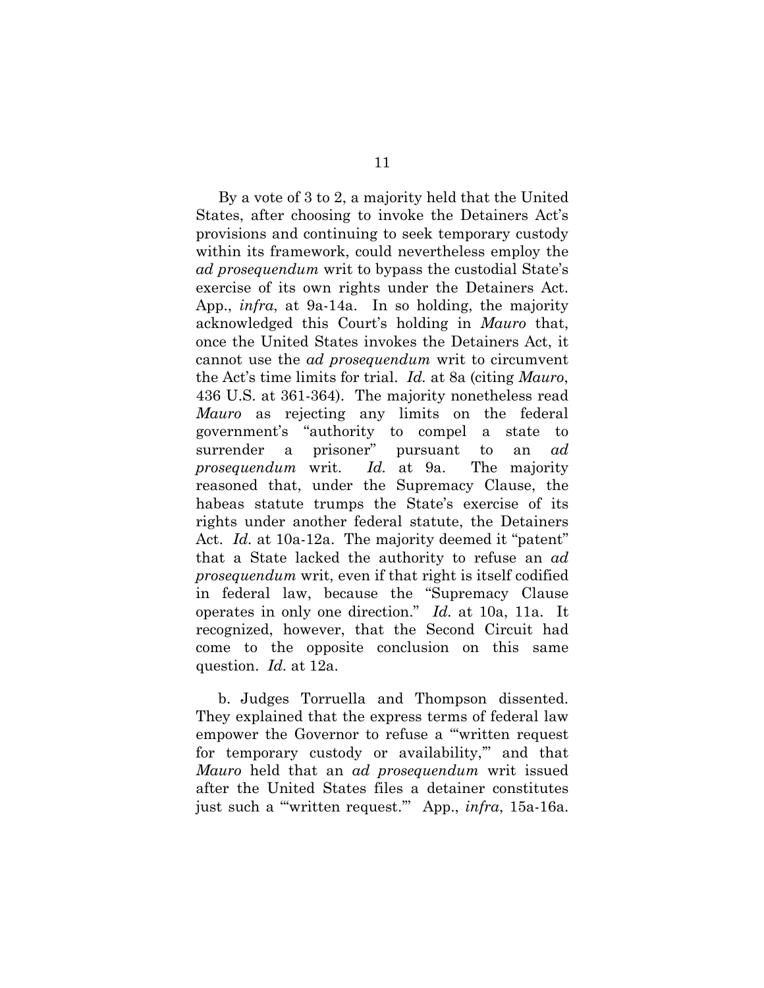By a vote of 3 to 2, a majority held that the United States, after choosing to invoke the Detainers Act's provisions and continuing to seek temporary custody within its framework, could nevertheless employ the *ad prosequendum* writ to bypass the custodial State's exercise of its own rights under the Detainers Act. App., *infra*, at 9a-14a. In so holding, the majority acknowledged this Court's holding in *Mauro* that, once the United States invokes the Detainers Act, it cannot use the *ad prosequendum* writ to circumvent the Act's time limits for trial. *Id.* at 8a (citing *Mauro*, 436 U.S. at 361-364). The majority nonetheless read *Mauro* as rejecting any limits on the federal government's "authority to compel a state to surrender a prisoner" pursuant to an *ad prosequendum* writ. *Id.* at 9a. The majority reasoned that, under the Supremacy Clause, the habeas statute trumps the State's exercise of its rights under another federal statute, the Detainers Act. *Id.* at 10a-12a. The majority deemed it "patent" that a State lacked the authority to refuse an *ad prosequendum* writ, even if that right is itself codified in federal law, because the "Supremacy Clause operates in only one direction." *Id.* at 10a, 11a. It recognized, however, that the Second Circuit had come to the opposite conclusion on this same question. *Id.* at 12a.

b. Judges Torruella and Thompson dissented. They explained that the express terms of federal law empower the Governor to refuse a "'written request for temporary custody or availability,'" and that *Mauro* held that an *ad prosequendum* writ issued after the United States files a detainer constitutes just such a "'written request.'" App., *infra*, 15a-16a.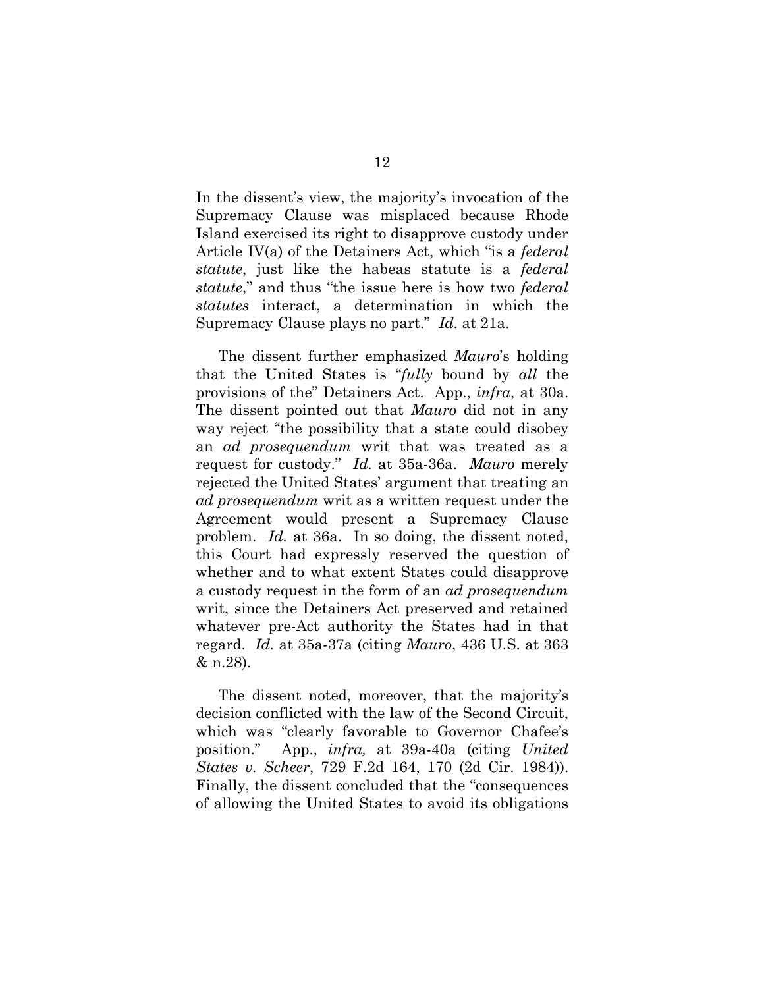In the dissent's view, the majority's invocation of the Supremacy Clause was misplaced because Rhode Island exercised its right to disapprove custody under Article IV(a) of the Detainers Act, which "is a *federal statute*, just like the habeas statute is a *federal statute*," and thus "the issue here is how two *federal statutes* interact, a determination in which the Supremacy Clause plays no part." *Id.* at 21a.

The dissent further emphasized *Mauro*'s holding that the United States is "*fully* bound by *all* the provisions of the" Detainers Act. App., *infra*, at 30a. The dissent pointed out that *Mauro* did not in any way reject "the possibility that a state could disobey an *ad prosequendum* writ that was treated as a request for custody." *Id.* at 35a-36a. *Mauro* merely rejected the United States' argument that treating an *ad prosequendum* writ as a written request under the Agreement would present a Supremacy Clause problem. *Id.* at 36a. In so doing, the dissent noted, this Court had expressly reserved the question of whether and to what extent States could disapprove a custody request in the form of an *ad prosequendum*  writ, since the Detainers Act preserved and retained whatever pre-Act authority the States had in that regard. *Id.* at 35a-37a (citing *Mauro*, 436 U.S. at 363 & n.28).

The dissent noted, moreover, that the majority's decision conflicted with the law of the Second Circuit, which was "clearly favorable to Governor Chafee's position." App., *infra,* at 39a-40a (citing *United States v. Scheer*, 729 F.2d 164, 170 (2d Cir. 1984)). Finally, the dissent concluded that the "consequences of allowing the United States to avoid its obligations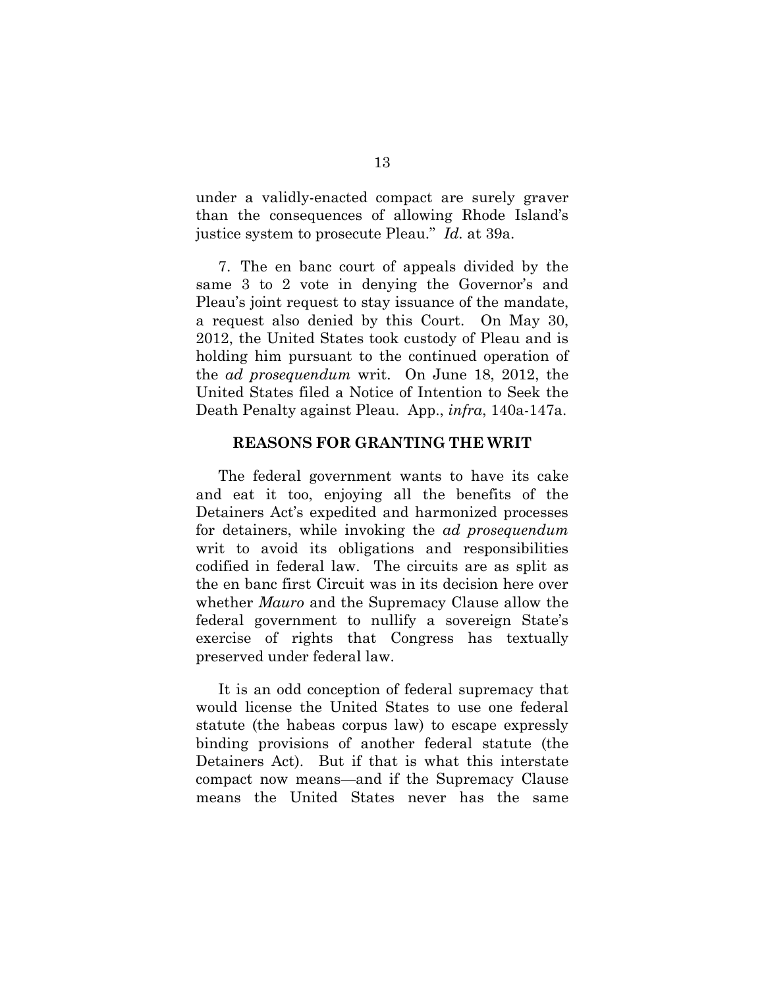under a validly-enacted compact are surely graver than the consequences of allowing Rhode Island's justice system to prosecute Pleau." *Id.* at 39a.

7. The en banc court of appeals divided by the same 3 to 2 vote in denying the Governor's and Pleau's joint request to stay issuance of the mandate, a request also denied by this Court. On May 30, 2012, the United States took custody of Pleau and is holding him pursuant to the continued operation of the *ad prosequendum* writ. On June 18, 2012, the United States filed a Notice of Intention to Seek the Death Penalty against Pleau. App., *infra*, 140a-147a.

### **REASONS FOR GRANTING THE WRIT**

The federal government wants to have its cake and eat it too, enjoying all the benefits of the Detainers Act's expedited and harmonized processes for detainers, while invoking the *ad prosequendum*  writ to avoid its obligations and responsibilities codified in federal law. The circuits are as split as the en banc first Circuit was in its decision here over whether *Mauro* and the Supremacy Clause allow the federal government to nullify a sovereign State's exercise of rights that Congress has textually preserved under federal law.

It is an odd conception of federal supremacy that would license the United States to use one federal statute (the habeas corpus law) to escape expressly binding provisions of another federal statute (the Detainers Act). But if that is what this interstate compact now means—and if the Supremacy Clause means the United States never has the same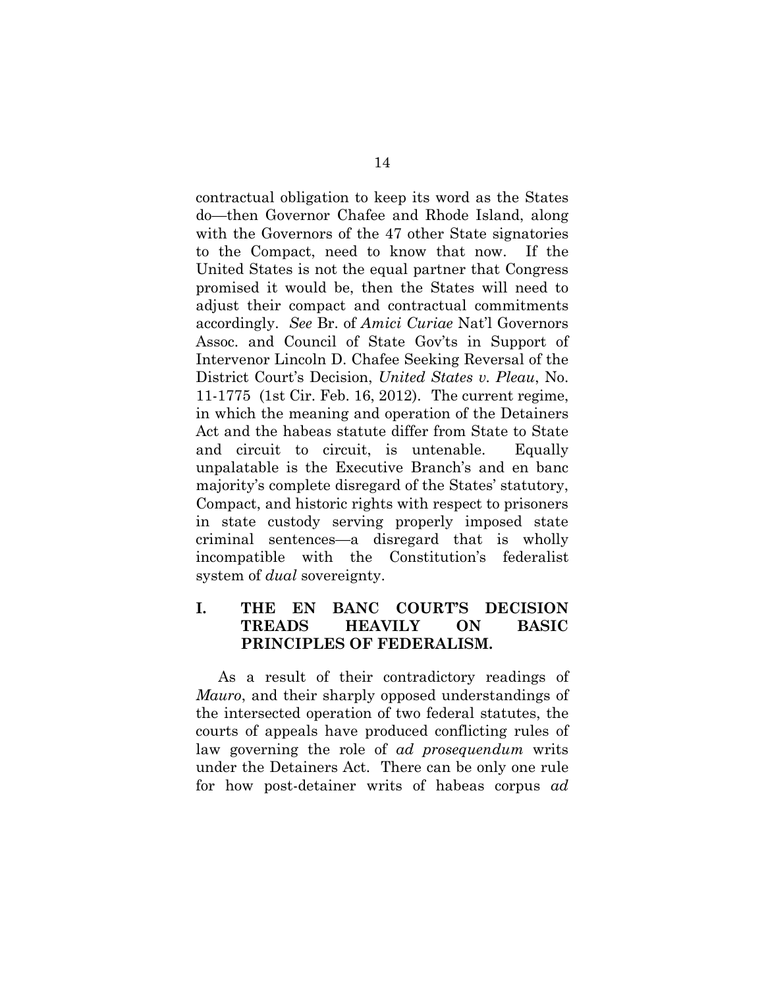contractual obligation to keep its word as the States do—then Governor Chafee and Rhode Island, along with the Governors of the 47 other State signatories to the Compact, need to know that now. If the United States is not the equal partner that Congress promised it would be, then the States will need to adjust their compact and contractual commitments accordingly. *See* Br. of *Amici Curiae* Nat'l Governors Assoc. and Council of State Gov'ts in Support of Intervenor Lincoln D. Chafee Seeking Reversal of the District Court's Decision, *United States v. Pleau*, No. 11-1775 (1st Cir. Feb. 16, 2012).The current regime, in which the meaning and operation of the Detainers Act and the habeas statute differ from State to State and circuit to circuit, is untenable. Equally unpalatable is the Executive Branch's and en banc majority's complete disregard of the States' statutory, Compact, and historic rights with respect to prisoners in state custody serving properly imposed state criminal sentences—a disregard that is wholly incompatible with the Constitution's federalist system of *dual* sovereignty.

### **I. THE EN BANC COURT'S DECISION TREADS HEAVILY ON BASIC PRINCIPLES OF FEDERALISM.**

As a result of their contradictory readings of *Mauro*, and their sharply opposed understandings of the intersected operation of two federal statutes, the courts of appeals have produced conflicting rules of law governing the role of *ad prosequendum* writs under the Detainers Act. There can be only one rule for how post-detainer writs of habeas corpus *ad*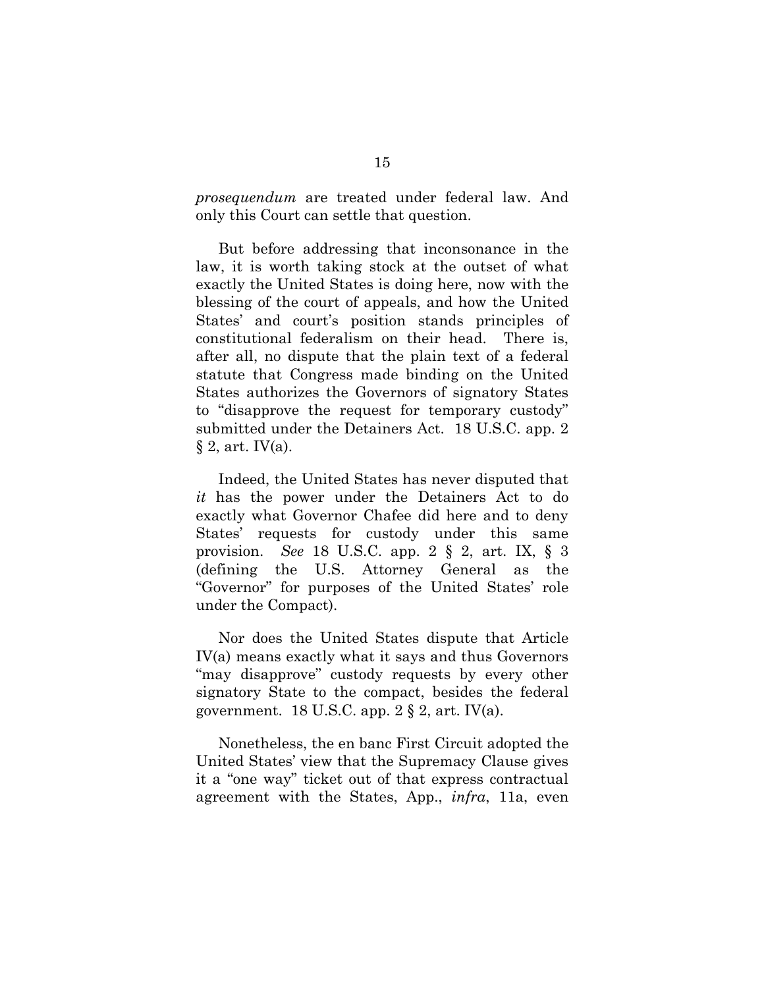*prosequendum* are treated under federal law. And only this Court can settle that question.

But before addressing that inconsonance in the law, it is worth taking stock at the outset of what exactly the United States is doing here, now with the blessing of the court of appeals, and how the United States' and court's position stands principles of constitutional federalism on their head. There is, after all, no dispute that the plain text of a federal statute that Congress made binding on the United States authorizes the Governors of signatory States to "disapprove the request for temporary custody" submitted under the Detainers Act. 18 U.S.C. app. 2  $\S 2$ , art. IV(a).

Indeed, the United States has never disputed that *it* has the power under the Detainers Act to do exactly what Governor Chafee did here and to deny States' requests for custody under this same provision. *See* 18 U.S.C. app. 2 § 2, art. IX, § 3 (defining the U.S. Attorney General as the "Governor" for purposes of the United States' role under the Compact).

Nor does the United States dispute that Article IV(a) means exactly what it says and thus Governors "may disapprove" custody requests by every other signatory State to the compact, besides the federal government. 18 U.S.C. app.  $2 \S 2$ , art. IV(a).

Nonetheless, the en banc First Circuit adopted the United States' view that the Supremacy Clause gives it a "one way" ticket out of that express contractual agreement with the States, App., *infra*, 11a, even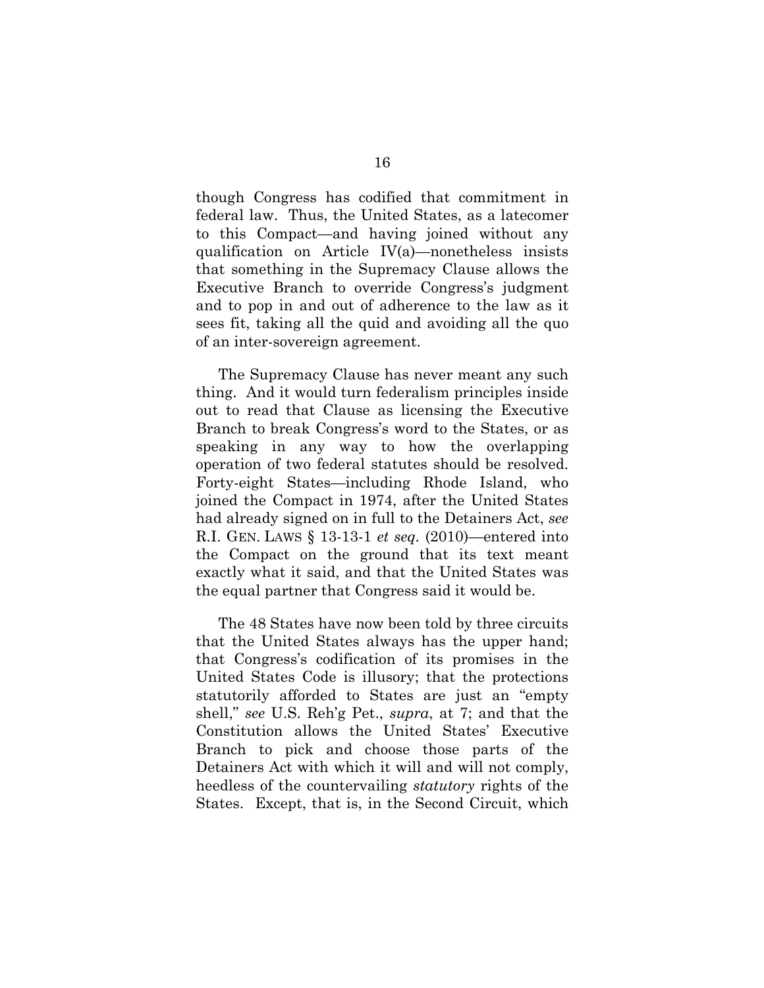though Congress has codified that commitment in federal law. Thus, the United States, as a latecomer to this Compact—and having joined without any qualification on Article IV(a)—nonetheless insists that something in the Supremacy Clause allows the Executive Branch to override Congress's judgment and to pop in and out of adherence to the law as it sees fit, taking all the quid and avoiding all the quo of an inter-sovereign agreement.

The Supremacy Clause has never meant any such thing. And it would turn federalism principles inside out to read that Clause as licensing the Executive Branch to break Congress's word to the States, or as speaking in any way to how the overlapping operation of two federal statutes should be resolved. Forty-eight States—including Rhode Island, who joined the Compact in 1974, after the United States had already signed on in full to the Detainers Act, *see* R.I. GEN. LAWS § 13-13-1 *et seq.* (2010)—entered into the Compact on the ground that its text meant exactly what it said, and that the United States was the equal partner that Congress said it would be.

The 48 States have now been told by three circuits that the United States always has the upper hand; that Congress's codification of its promises in the United States Code is illusory; that the protections statutorily afforded to States are just an "empty shell," *see* U.S. Reh'g Pet., *supra*, at 7; and that the Constitution allows the United States' Executive Branch to pick and choose those parts of the Detainers Act with which it will and will not comply, heedless of the countervailing *statutory* rights of the States. Except, that is, in the Second Circuit, which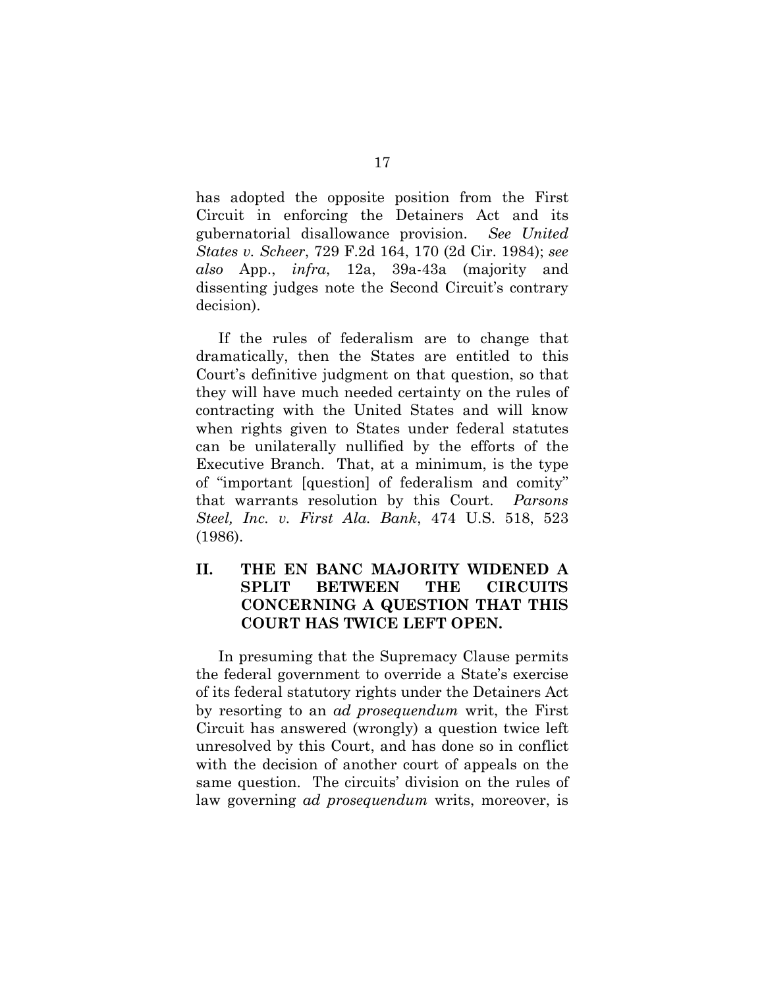has adopted the opposite position from the First Circuit in enforcing the Detainers Act and its gubernatorial disallowance provision. *See United States v. Scheer*, 729 F.2d 164, 170 (2d Cir. 1984); *see also* App., *infra*, 12a, 39a-43a (majority and dissenting judges note the Second Circuit's contrary decision).

If the rules of federalism are to change that dramatically, then the States are entitled to this Court's definitive judgment on that question, so that they will have much needed certainty on the rules of contracting with the United States and will know when rights given to States under federal statutes can be unilaterally nullified by the efforts of the Executive Branch. That, at a minimum, is the type of "important [question] of federalism and comity" that warrants resolution by this Court. *Parsons Steel, Inc. v. First Ala. Bank*, 474 U.S. 518, 523 (1986).

# **II. THE EN BANC MAJORITY WIDENED A SPLIT BETWEEN THE CIRCUITS CONCERNING A QUESTION THAT THIS COURT HAS TWICE LEFT OPEN.**

In presuming that the Supremacy Clause permits the federal government to override a State's exercise of its federal statutory rights under the Detainers Act by resorting to an *ad prosequendum* writ, the First Circuit has answered (wrongly) a question twice left unresolved by this Court, and has done so in conflict with the decision of another court of appeals on the same question. The circuits' division on the rules of law governing *ad prosequendum* writs, moreover, is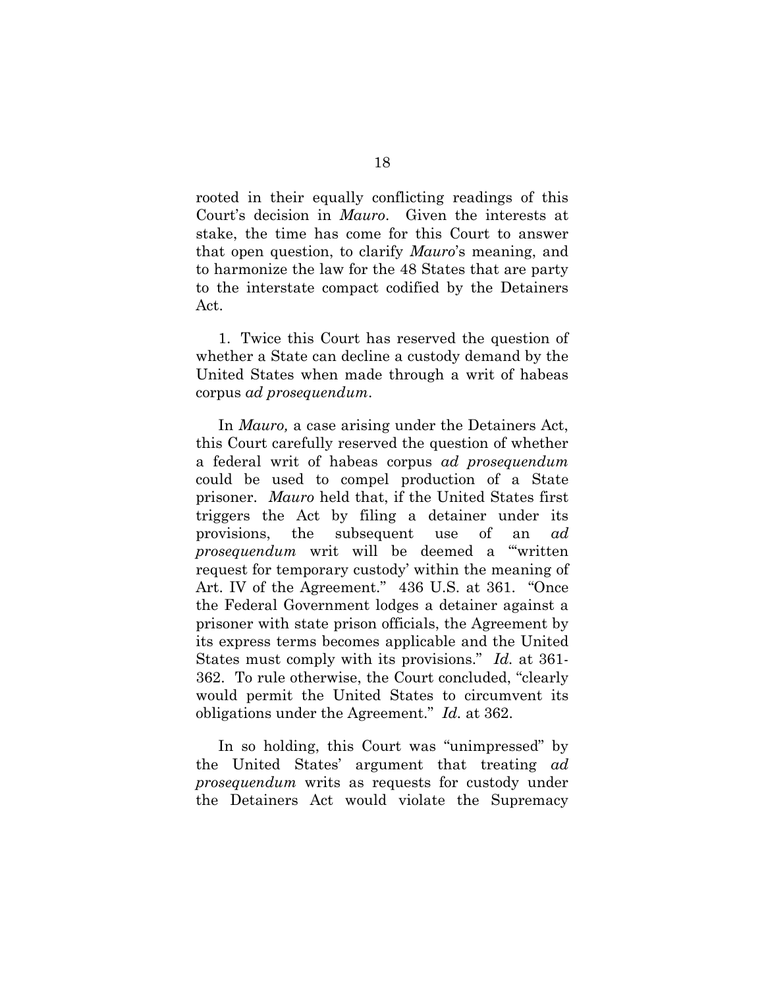rooted in their equally conflicting readings of this Court's decision in *Mauro*. Given the interests at stake, the time has come for this Court to answer that open question, to clarify *Mauro*'s meaning, and to harmonize the law for the 48 States that are party to the interstate compact codified by the Detainers Act.

1. Twice this Court has reserved the question of whether a State can decline a custody demand by the United States when made through a writ of habeas corpus *ad prosequendum*.

In *Mauro,* a case arising under the Detainers Act, this Court carefully reserved the question of whether a federal writ of habeas corpus *ad prosequendum* could be used to compel production of a State prisoner. *Mauro* held that, if the United States first triggers the Act by filing a detainer under its provisions, the subsequent use of an *ad prosequendum* writ will be deemed a "'written request for temporary custody' within the meaning of Art. IV of the Agreement." 436 U.S. at 361. "Once the Federal Government lodges a detainer against a prisoner with state prison officials, the Agreement by its express terms becomes applicable and the United States must comply with its provisions." *Id.* at 361- 362. To rule otherwise, the Court concluded, "clearly would permit the United States to circumvent its obligations under the Agreement." *Id.* at 362.

In so holding, this Court was "unimpressed" by the United States' argument that treating *ad prosequendum* writs as requests for custody under the Detainers Act would violate the Supremacy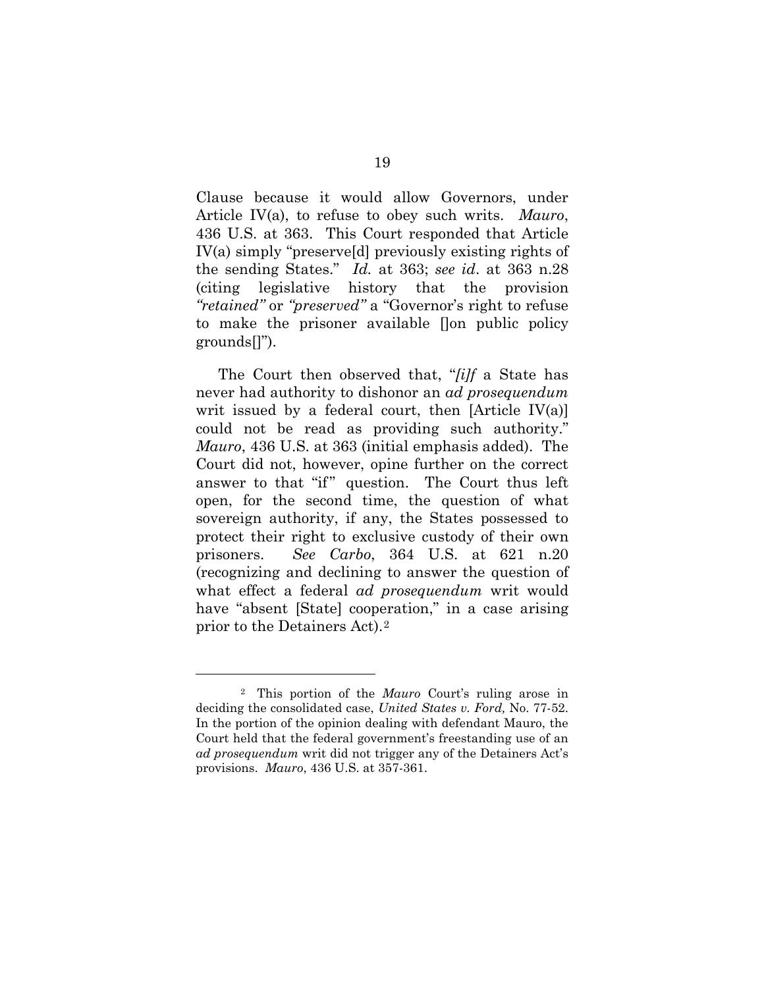Clause because it would allow Governors, under Article IV(a), to refuse to obey such writs. *Mauro*, 436 U.S. at 363. This Court responded that Article IV(a) simply "preserve[d] previously existing rights of the sending States." *Id.* at 363; *see id*. at 363 n.28 (citing legislative history that the provision *"retained"* or *"preserved"* a "Governor's right to refuse to make the prisoner available []on public policy grounds[]").

The Court then observed that, "*[i]f* a State has never had authority to dishonor an *ad prosequendum* writ issued by a federal court, then  $[Article IV(a)]$ could not be read as providing such authority." *Mauro*, 436 U.S. at 363 (initial emphasis added). The Court did not, however, opine further on the correct answer to that "if" question. The Court thus left open, for the second time, the question of what sovereign authority, if any, the States possessed to protect their right to exclusive custody of their own prisoners. *See Carbo*, 364 U.S. at 621 n.20 (recognizing and declining to answer the question of what effect a federal *ad prosequendum* writ would have "absent [State] cooperation," in a case arising prior to the Detainers Act).2

<u>.</u>

<sup>2</sup> This portion of the *Mauro* Court's ruling arose in deciding the consolidated case, *United States v. Ford,* No. 77-52. In the portion of the opinion dealing with defendant Mauro, the Court held that the federal government's freestanding use of an *ad prosequendum* writ did not trigger any of the Detainers Act's provisions. *Mauro*, 436 U.S. at 357-361.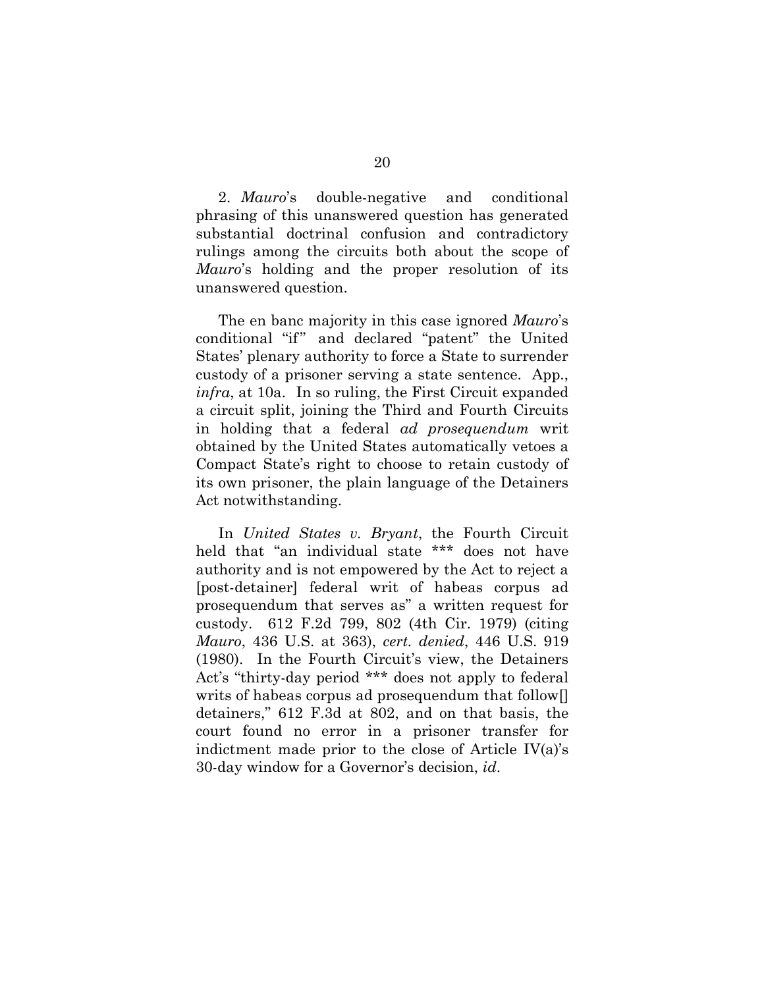2. *Mauro*'s double-negative and conditional phrasing of this unanswered question has generated substantial doctrinal confusion and contradictory rulings among the circuits both about the scope of *Mauro*'s holding and the proper resolution of its unanswered question.

The en banc majority in this case ignored *Mauro*'s conditional "if" and declared "patent" the United States' plenary authority to force a State to surrender custody of a prisoner serving a state sentence. App., *infra*, at 10a.In so ruling, the First Circuit expanded a circuit split, joining the Third and Fourth Circuits in holding that a federal *ad prosequendum* writ obtained by the United States automatically vetoes a Compact State's right to choose to retain custody of its own prisoner, the plain language of the Detainers Act notwithstanding.

In *United States v. Bryant*, the Fourth Circuit held that "an individual state \*\*\* does not have authority and is not empowered by the Act to reject a [post-detainer] federal writ of habeas corpus ad prosequendum that serves as" a written request for custody. 612 F.2d 799, 802 (4th Cir. 1979) (citing *Mauro*, 436 U.S. at 363), *cert. denied*, 446 U.S. 919 (1980). In the Fourth Circuit's view, the Detainers Act's "thirty-day period \*\*\* does not apply to federal writs of habeas corpus ad prosequendum that follow[] detainers," 612 F.3d at 802, and on that basis, the court found no error in a prisoner transfer for indictment made prior to the close of Article IV(a)'s 30-day window for a Governor's decision, *id*.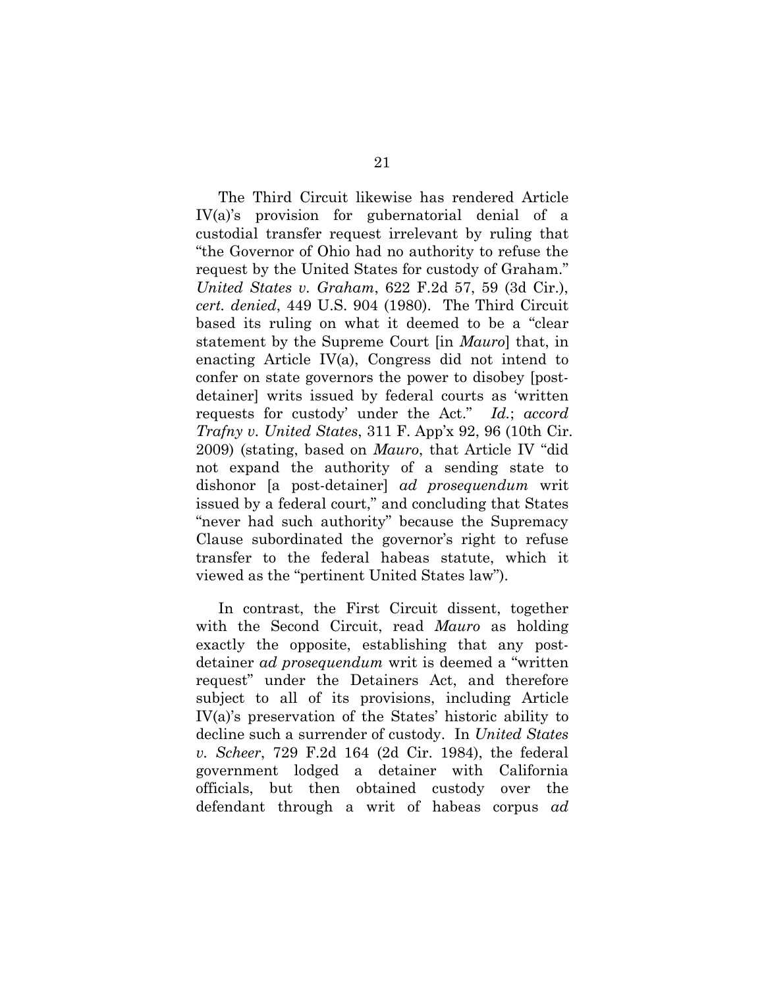The Third Circuit likewise has rendered Article IV(a)'s provision for gubernatorial denial of a custodial transfer request irrelevant by ruling that "the Governor of Ohio had no authority to refuse the request by the United States for custody of Graham." *United States v. Graham*, 622 F.2d 57, 59 (3d Cir.), *cert. denied*, 449 U.S. 904 (1980). The Third Circuit based its ruling on what it deemed to be a "clear statement by the Supreme Court [in *Mauro*] that, in enacting Article IV(a), Congress did not intend to confer on state governors the power to disobey [postdetainer] writs issued by federal courts as 'written requests for custody' under the Act." *Id.*; *accord Trafny v. United States*, 311 F. App'x 92, 96 (10th Cir. 2009) (stating, based on *Mauro*, that Article IV "did not expand the authority of a sending state to dishonor [a post-detainer] *ad prosequendum* writ issued by a federal court," and concluding that States "never had such authority" because the Supremacy Clause subordinated the governor's right to refuse transfer to the federal habeas statute, which it viewed as the "pertinent United States law").

In contrast, the First Circuit dissent, together with the Second Circuit, read *Mauro* as holding exactly the opposite, establishing that any postdetainer *ad prosequendum* writ is deemed a "written request" under the Detainers Act, and therefore subject to all of its provisions, including Article IV(a)'s preservation of the States' historic ability to decline such a surrender of custody. In *United States v. Scheer*, 729 F.2d 164 (2d Cir. 1984), the federal government lodged a detainer with California officials, but then obtained custody over the defendant through a writ of habeas corpus *ad*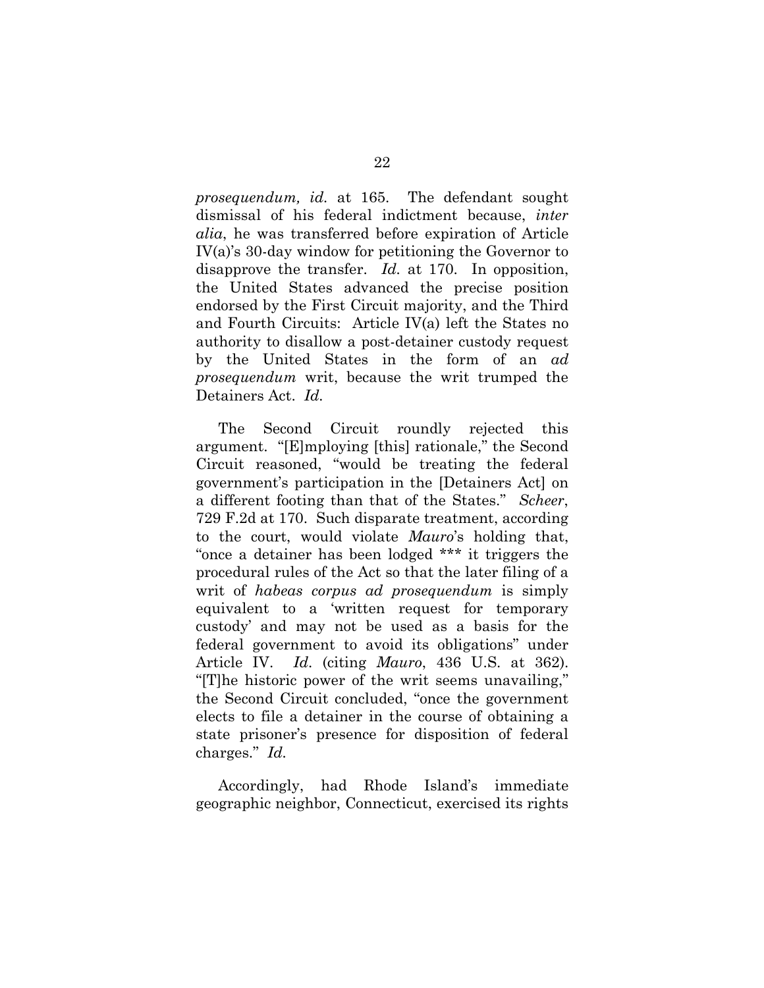*prosequendum, id.* at 165. The defendant sought dismissal of his federal indictment because, *inter alia*, he was transferred before expiration of Article IV(a)'s 30-day window for petitioning the Governor to disapprove the transfer. *Id.* at 170. In opposition, the United States advanced the precise position endorsed by the First Circuit majority, and the Third and Fourth Circuits: Article IV(a) left the States no authority to disallow a post-detainer custody request by the United States in the form of an *ad prosequendum* writ, because the writ trumped the Detainers Act. *Id.*

The Second Circuit roundly rejected this argument. "[E]mploying [this] rationale," the Second Circuit reasoned, "would be treating the federal government's participation in the [Detainers Act] on a different footing than that of the States." *Scheer*, 729 F.2d at 170. Such disparate treatment, according to the court, would violate *Mauro*'s holding that, "once a detainer has been lodged \*\*\* it triggers the procedural rules of the Act so that the later filing of a writ of *habeas corpus ad prosequendum* is simply equivalent to a 'written request for temporary custody' and may not be used as a basis for the federal government to avoid its obligations" under Article IV. *Id*. (citing *Mauro*, 436 U.S. at 362). "[T]he historic power of the writ seems unavailing," the Second Circuit concluded, "once the government elects to file a detainer in the course of obtaining a state prisoner's presence for disposition of federal charges." *Id.*

Accordingly, had Rhode Island's immediate geographic neighbor, Connecticut, exercised its rights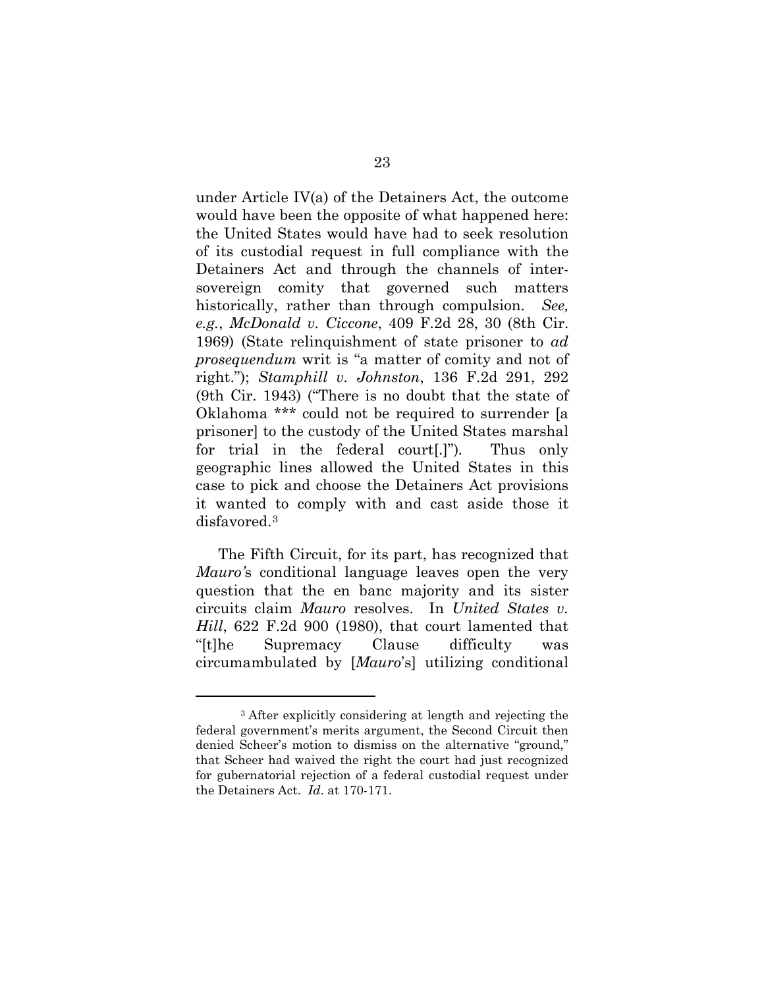under Article IV(a) of the Detainers Act, the outcome would have been the opposite of what happened here: the United States would have had to seek resolution of its custodial request in full compliance with the Detainers Act and through the channels of intersovereign comity that governed such matters historically, rather than through compulsion. *See, e.g.*, *McDonald v. Ciccone*, 409 F.2d 28, 30 (8th Cir. 1969) (State relinquishment of state prisoner to *ad prosequendum* writ is "a matter of comity and not of right."); *Stamphill v. Johnston*, 136 F.2d 291, 292 (9th Cir. 1943) ("There is no doubt that the state of Oklahoma \*\*\* could not be required to surrender [a prisoner] to the custody of the United States marshal for trial in the federal court[.]")*.* Thus only geographic lines allowed the United States in this case to pick and choose the Detainers Act provisions it wanted to comply with and cast aside those it disfavored.3

The Fifth Circuit, for its part, has recognized that *Mauro'*s conditional language leaves open the very question that the en banc majority and its sister circuits claim *Mauro* resolves. In *United States v. Hill*, 622 F.2d 900 (1980), that court lamented that "[t]he Supremacy Clause difficulty was circumambulated by [*Mauro*'s] utilizing conditional

1

<sup>3</sup> After explicitly considering at length and rejecting the federal government's merits argument, the Second Circuit then denied Scheer's motion to dismiss on the alternative "ground," that Scheer had waived the right the court had just recognized for gubernatorial rejection of a federal custodial request under the Detainers Act. *Id*. at 170-171.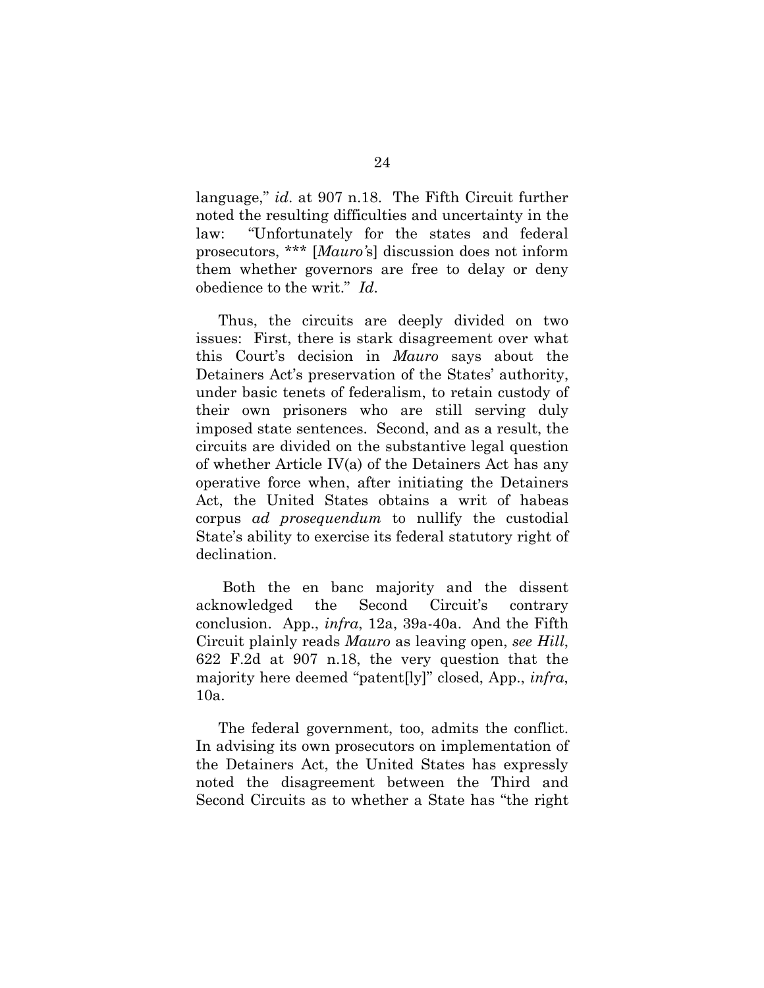language," *id*. at 907 n.18. The Fifth Circuit further noted the resulting difficulties and uncertainty in the law: "Unfortunately for the states and federal prosecutors, \*\*\* [*Mauro'*s] discussion does not inform them whether governors are free to delay or deny obedience to the writ." *Id*.

Thus, the circuits are deeply divided on two issues: First, there is stark disagreement over what this Court's decision in *Mauro* says about the Detainers Act's preservation of the States' authority, under basic tenets of federalism, to retain custody of their own prisoners who are still serving duly imposed state sentences. Second, and as a result, the circuits are divided on the substantive legal question of whether Article IV(a) of the Detainers Act has any operative force when, after initiating the Detainers Act, the United States obtains a writ of habeas corpus *ad prosequendum* to nullify the custodial State's ability to exercise its federal statutory right of declination.

Both the en banc majority and the dissent acknowledged the Second Circuit's contrary conclusion. App., *infra*, 12a, 39a-40a. And the Fifth Circuit plainly reads *Mauro* as leaving open, *see Hill*, 622 F.2d at 907 n.18, the very question that the majority here deemed "patent[ly]" closed, App., *infra*, 10a.

The federal government, too, admits the conflict. In advising its own prosecutors on implementation of the Detainers Act, the United States has expressly noted the disagreement between the Third and Second Circuits as to whether a State has "the right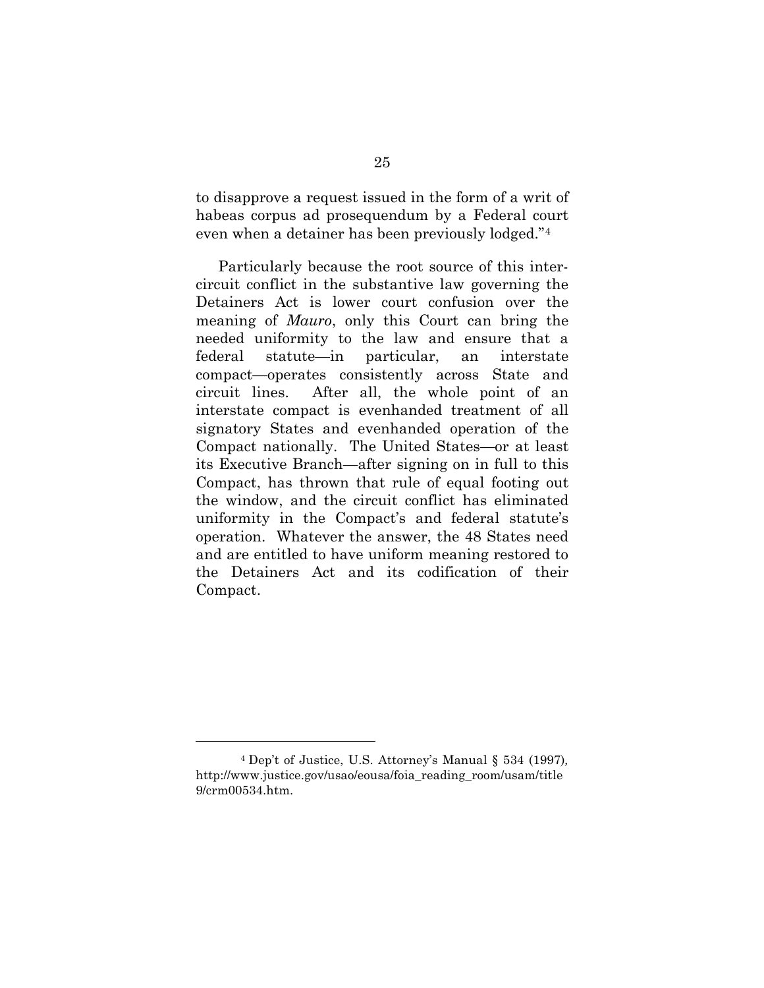to disapprove a request issued in the form of a writ of habeas corpus ad prosequendum by a Federal court even when a detainer has been previously lodged."4

Particularly because the root source of this intercircuit conflict in the substantive law governing the Detainers Act is lower court confusion over the meaning of *Mauro*, only this Court can bring the needed uniformity to the law and ensure that a federal statute—in particular, an interstate compact—operates consistently across State and circuit lines. After all, the whole point of an interstate compact is evenhanded treatment of all signatory States and evenhanded operation of the Compact nationally. The United States—or at least its Executive Branch—after signing on in full to this Compact, has thrown that rule of equal footing out the window, and the circuit conflict has eliminated uniformity in the Compact's and federal statute's operation. Whatever the answer, the 48 States need and are entitled to have uniform meaning restored to the Detainers Act and its codification of their Compact.

<u>.</u>

<sup>4</sup> Dep't of Justice, U.S. Attorney's Manual § 534 (1997)*,*  http://www.justice.gov/usao/eousa/foia\_reading\_room/usam/title 9/crm00534.htm.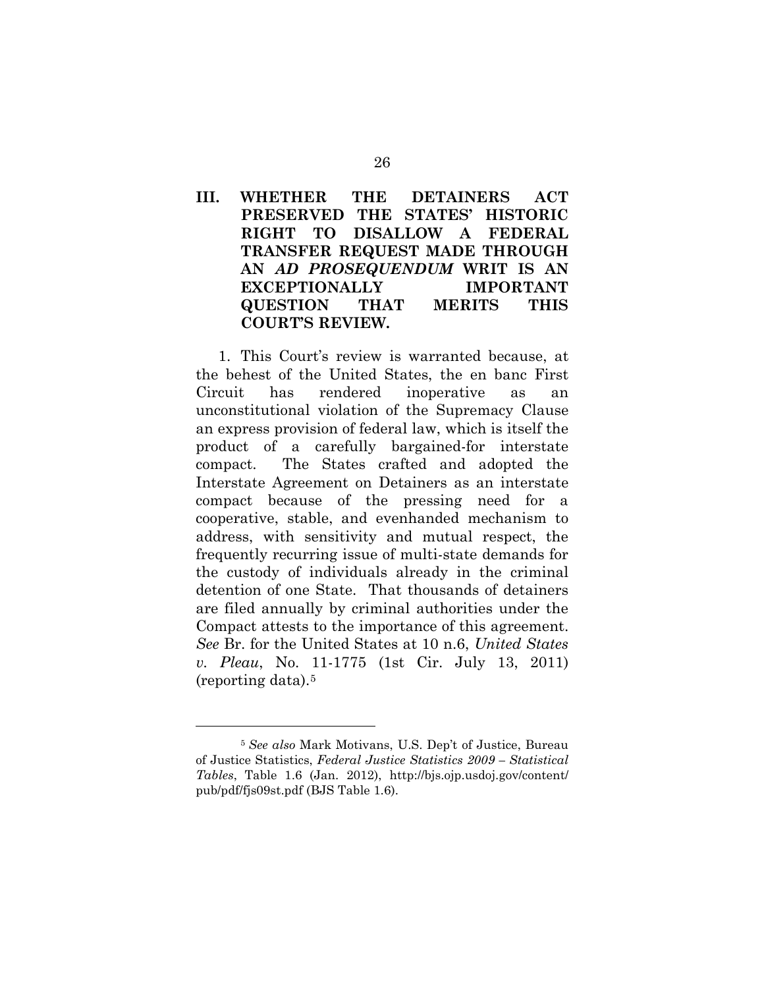# **III. WHETHER THE DETAINERS ACT PRESERVED THE STATES' HISTORIC RIGHT TO DISALLOW A FEDERAL TRANSFER REQUEST MADE THROUGH AN** *AD PROSEQUENDUM* **WRIT IS AN EXCEPTIONALLY IMPORTANT QUESTION THAT MERITS THIS COURT'S REVIEW.**

1. This Court's review is warranted because, at the behest of the United States, the en banc First Circuit has rendered inoperative as an unconstitutional violation of the Supremacy Clause an express provision of federal law, which is itself the product of a carefully bargained-for interstate compact. The States crafted and adopted the Interstate Agreement on Detainers as an interstate compact because of the pressing need for a cooperative, stable, and evenhanded mechanism to address, with sensitivity and mutual respect, the frequently recurring issue of multi-state demands for the custody of individuals already in the criminal detention of one State. That thousands of detainers are filed annually by criminal authorities under the Compact attests to the importance of this agreement. *See* Br. for the United States at 10 n.6, *United States v. Pleau*, No. 11-1775 (1st Cir. July 13, 2011) (reporting data).5 

1

<sup>5</sup> *See also* Mark Motivans, U.S. Dep't of Justice, Bureau of Justice Statistics, *Federal Justice Statistics 2009 – Statistical Tables*, Table 1.6 (Jan. 2012), http://bjs.ojp.usdoj.gov/content/ pub/pdf/fjs09st.pdf (BJS Table 1.6).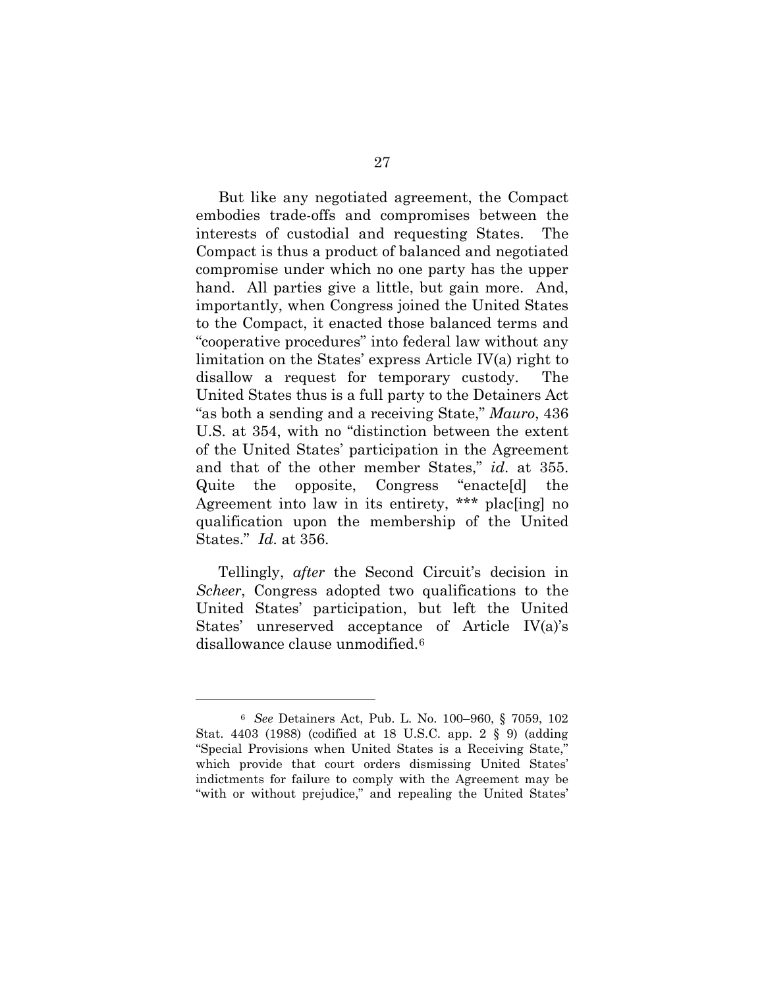But like any negotiated agreement, the Compact embodies trade-offs and compromises between the interests of custodial and requesting States. The Compact is thus a product of balanced and negotiated compromise under which no one party has the upper hand. All parties give a little, but gain more. And, importantly, when Congress joined the United States to the Compact, it enacted those balanced terms and "cooperative procedures" into federal law without any limitation on the States' express Article IV(a) right to disallow a request for temporary custody. The United States thus is a full party to the Detainers Act "as both a sending and a receiving State," *Mauro*, 436 U.S. at 354, with no "distinction between the extent of the United States' participation in the Agreement and that of the other member States," *id*. at 355. Quite the opposite, Congress "enacte[d] the Agreement into law in its entirety, \*\*\* plac[ing] no qualification upon the membership of the United States." *Id.* at 356.

Tellingly, *after* the Second Circuit's decision in *Scheer*, Congress adopted two qualifications to the United States' participation, but left the United States' unreserved acceptance of Article IV(a)'s disallowance clause unmodified.<sup>6</sup>

1

<sup>6</sup> *See* Detainers Act, Pub. L. No. 100–960, § 7059, 102 Stat. 4403 (1988) (codified at 18 U.S.C. app. 2 § 9) (adding "Special Provisions when United States is a Receiving State," which provide that court orders dismissing United States' indictments for failure to comply with the Agreement may be "with or without prejudice," and repealing the United States'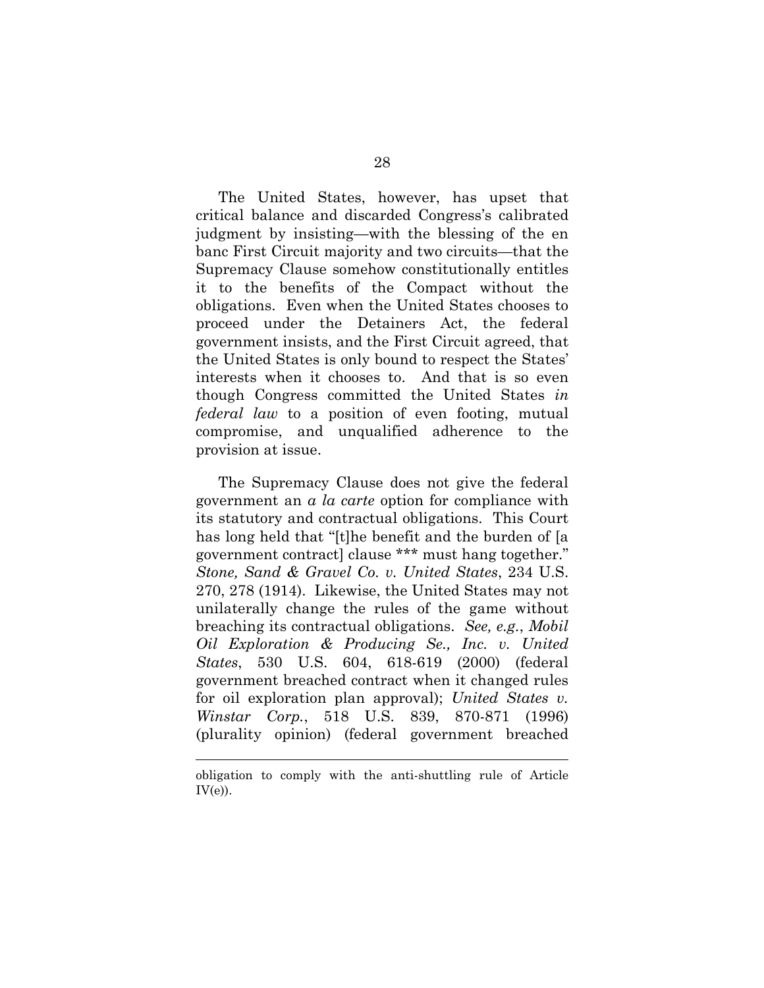The United States, however, has upset that critical balance and discarded Congress's calibrated judgment by insisting—with the blessing of the en banc First Circuit majority and two circuits—that the Supremacy Clause somehow constitutionally entitles it to the benefits of the Compact without the obligations. Even when the United States chooses to proceed under the Detainers Act, the federal government insists, and the First Circuit agreed, that the United States is only bound to respect the States' interests when it chooses to. And that is so even though Congress committed the United States *in federal law* to a position of even footing, mutual compromise, and unqualified adherence to the provision at issue.

The Supremacy Clause does not give the federal government an *a la carte* option for compliance with its statutory and contractual obligations. This Court has long held that "[t]he benefit and the burden of [a government contract] clause \*\*\* must hang together." *Stone, Sand & Gravel Co. v. United States*, 234 U.S. 270, 278 (1914). Likewise, the United States may not unilaterally change the rules of the game without breaching its contractual obligations. *See, e.g.*, *Mobil Oil Exploration & Producing Se., Inc. v. United States*, 530 U.S. 604, 618-619 (2000) (federal government breached contract when it changed rules for oil exploration plan approval); *United States v. Winstar Corp.*, 518 U.S. 839, 870-871 (1996) (plurality opinion) (federal government breached

 $\overline{a}$ 

obligation to comply with the anti-shuttling rule of Article  $IV(e)$ ).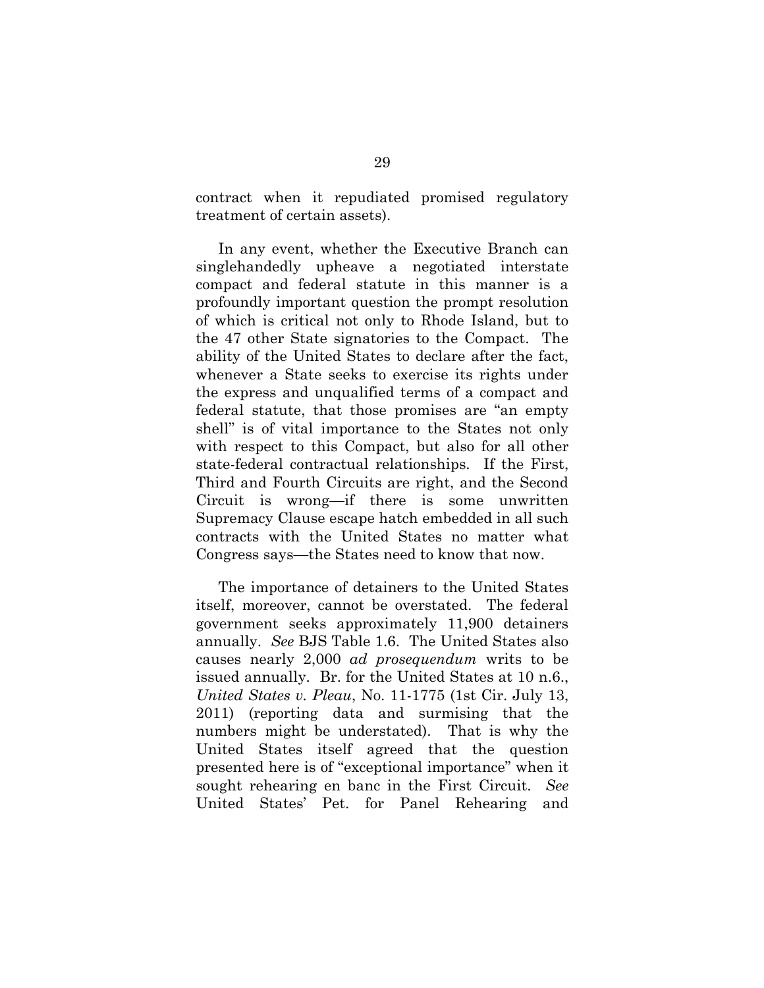contract when it repudiated promised regulatory treatment of certain assets).

In any event, whether the Executive Branch can singlehandedly upheave a negotiated interstate compact and federal statute in this manner is a profoundly important question the prompt resolution of which is critical not only to Rhode Island, but to the 47 other State signatories to the Compact. The ability of the United States to declare after the fact, whenever a State seeks to exercise its rights under the express and unqualified terms of a compact and federal statute, that those promises are "an empty shell" is of vital importance to the States not only with respect to this Compact, but also for all other state-federal contractual relationships. If the First, Third and Fourth Circuits are right, and the Second Circuit is wrong—if there is some unwritten Supremacy Clause escape hatch embedded in all such contracts with the United States no matter what Congress says—the States need to know that now.

The importance of detainers to the United States itself, moreover, cannot be overstated. The federal government seeks approximately 11,900 detainers annually. *See* BJS Table 1.6. The United States also causes nearly 2,000 *ad prosequendum* writs to be issued annually. Br. for the United States at 10 n.6., *United States v. Pleau*, No. 11-1775 (1st Cir. July 13, 2011) (reporting data and surmising that the numbers might be understated). That is why the United States itself agreed that the question presented here is of "exceptional importance" when it sought rehearing en banc in the First Circuit. *See* United States' Pet. for Panel Rehearing and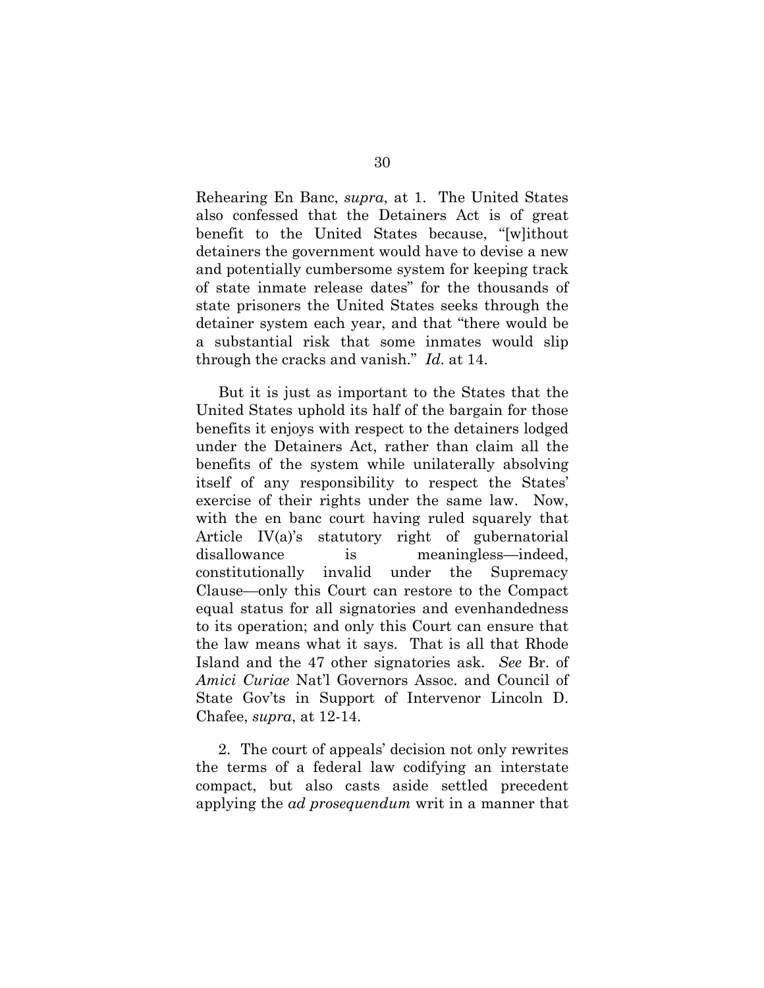Rehearing En Banc, *supra*, at 1. The United States also confessed that the Detainers Act is of great benefit to the United States because, "[w]ithout detainers the government would have to devise a new and potentially cumbersome system for keeping track of state inmate release dates" for the thousands of state prisoners the United States seeks through the detainer system each year, and that "there would be a substantial risk that some inmates would slip through the cracks and vanish." *Id*. at 14.

But it is just as important to the States that the United States uphold its half of the bargain for those benefits it enjoys with respect to the detainers lodged under the Detainers Act, rather than claim all the benefits of the system while unilaterally absolving itself of any responsibility to respect the States' exercise of their rights under the same law. Now, with the en banc court having ruled squarely that Article IV(a)'s statutory right of gubernatorial disallowance is meaningless—indeed, constitutionally invalid under the Supremacy Clause—only this Court can restore to the Compact equal status for all signatories and evenhandedness to its operation; and only this Court can ensure that the law means what it says. That is all that Rhode Island and the 47 other signatories ask. *See* Br. of *Amici Curiae* Nat'l Governors Assoc. and Council of State Gov'ts in Support of Intervenor Lincoln D. Chafee, *supra*, at 12-14.

2. The court of appeals' decision not only rewrites the terms of a federal law codifying an interstate compact, but also casts aside settled precedent applying the *ad prosequendum* writ in a manner that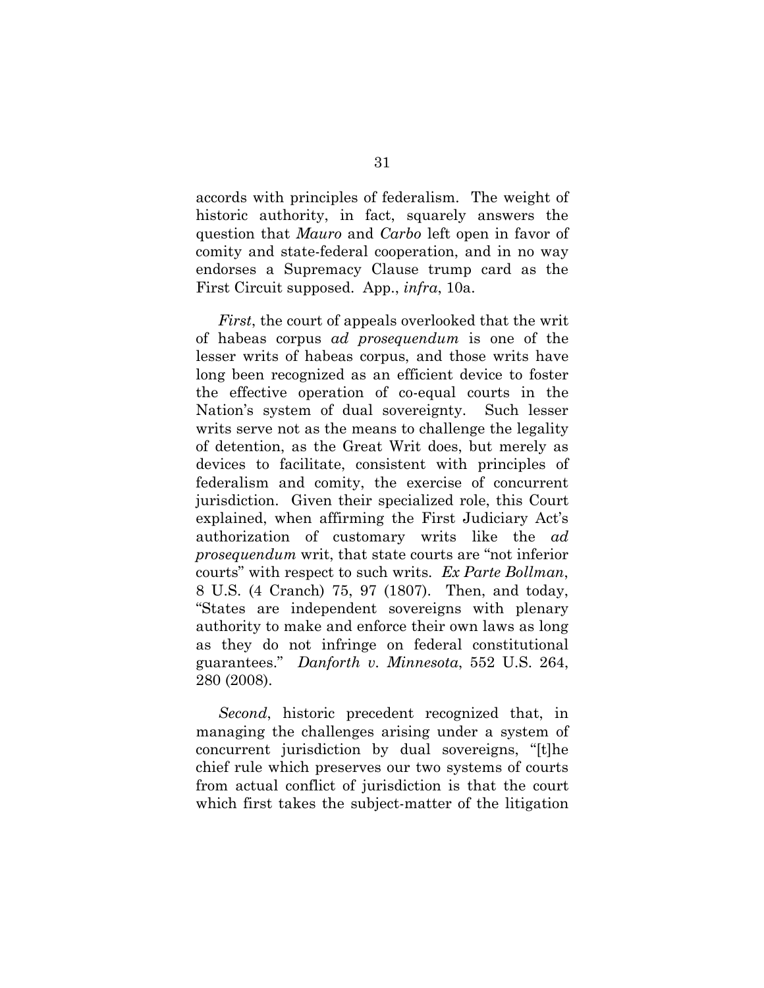accords with principles of federalism. The weight of historic authority, in fact, squarely answers the question that *Mauro* and *Carbo* left open in favor of comity and state-federal cooperation, and in no way endorses a Supremacy Clause trump card as the First Circuit supposed. App., *infra*, 10a.

*First*, the court of appeals overlooked that the writ of habeas corpus *ad prosequendum* is one of the lesser writs of habeas corpus, and those writs have long been recognized as an efficient device to foster the effective operation of co-equal courts in the Nation's system of dual sovereignty. Such lesser writs serve not as the means to challenge the legality of detention, as the Great Writ does, but merely as devices to facilitate, consistent with principles of federalism and comity, the exercise of concurrent jurisdiction. Given their specialized role, this Court explained, when affirming the First Judiciary Act's authorization of customary writs like the *ad prosequendum* writ, that state courts are "not inferior courts" with respect to such writs. *Ex Parte Bollman*, 8 U.S. (4 Cranch) 75, 97 (1807). Then, and today, "States are independent sovereigns with plenary authority to make and enforce their own laws as long as they do not infringe on federal constitutional guarantees." *Danforth v. Minnesota*, 552 U.S. 264, 280 (2008).

*Second*, historic precedent recognized that, in managing the challenges arising under a system of concurrent jurisdiction by dual sovereigns, "[t]he chief rule which preserves our two systems of courts from actual conflict of jurisdiction is that the court which first takes the subject-matter of the litigation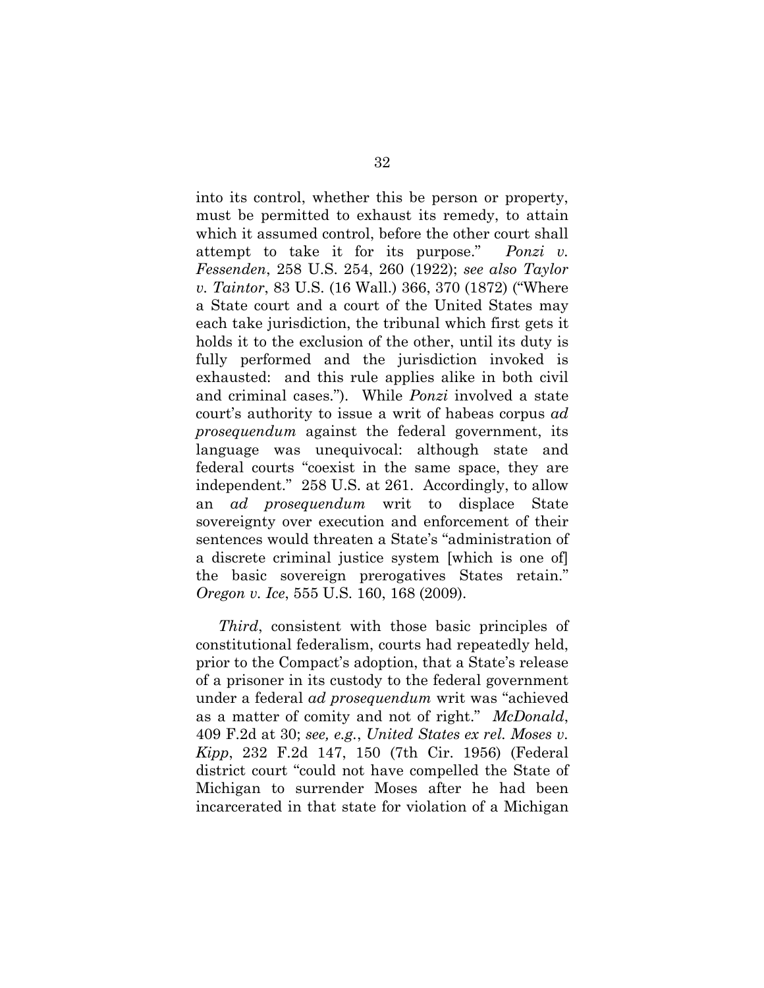into its control, whether this be person or property, must be permitted to exhaust its remedy, to attain which it assumed control, before the other court shall attempt to take it for its purpose." *Ponzi v. Fessenden*, 258 U.S. 254, 260 (1922); *see also Taylor v. Taintor*, 83 U.S. (16 Wall.) 366, 370 (1872) ("Where a State court and a court of the United States may each take jurisdiction, the tribunal which first gets it holds it to the exclusion of the other, until its duty is fully performed and the jurisdiction invoked is exhausted: and this rule applies alike in both civil and criminal cases."). While *Ponzi* involved a state court's authority to issue a writ of habeas corpus *ad prosequendum* against the federal government, its language was unequivocal: although state and federal courts "coexist in the same space, they are independent." 258 U.S. at 261. Accordingly, to allow an *ad prosequendum* writ to displace State sovereignty over execution and enforcement of their sentences would threaten a State's "administration of a discrete criminal justice system [which is one of] the basic sovereign prerogatives States retain." *Oregon v. Ice*, 555 U.S. 160, 168 (2009).

*Third*, consistent with those basic principles of constitutional federalism, courts had repeatedly held, prior to the Compact's adoption, that a State's release of a prisoner in its custody to the federal government under a federal *ad prosequendum* writ was "achieved as a matter of comity and not of right." *McDonald*, 409 F.2d at 30; *see, e.g.*, *United States ex rel. Moses v. Kipp*, 232 F.2d 147, 150 (7th Cir. 1956) (Federal district court "could not have compelled the State of Michigan to surrender Moses after he had been incarcerated in that state for violation of a Michigan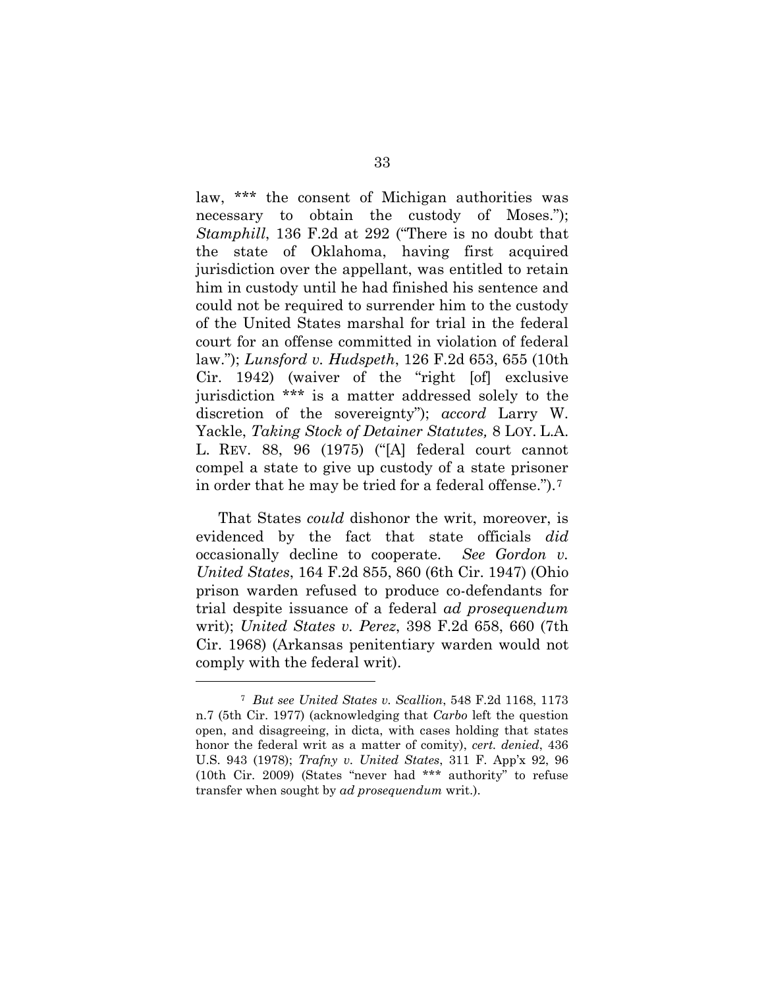law, \*\*\* the consent of Michigan authorities was necessary to obtain the custody of Moses."); *Stamphill*, 136 F.2d at 292 ("There is no doubt that the state of Oklahoma, having first acquired jurisdiction over the appellant, was entitled to retain him in custody until he had finished his sentence and could not be required to surrender him to the custody of the United States marshal for trial in the federal court for an offense committed in violation of federal law."); *Lunsford v. Hudspeth*, 126 F.2d 653, 655 (10th Cir. 1942) (waiver of the "right [of] exclusive jurisdiction \*\*\* is a matter addressed solely to the discretion of the sovereignty"); *accord* Larry W. Yackle, *Taking Stock of Detainer Statutes,* 8 LOY. L.A. L. REV. 88, 96 (1975) ("[A] federal court cannot compel a state to give up custody of a state prisoner in order that he may be tried for a federal offense.").7

That States *could* dishonor the writ, moreover, is evidenced by the fact that state officials *did* occasionally decline to cooperate. *See Gordon v. United States*, 164 F.2d 855, 860 (6th Cir. 1947) (Ohio prison warden refused to produce co-defendants for trial despite issuance of a federal *ad prosequendum*  writ); *United States v. Perez*, 398 F.2d 658, 660 (7th Cir. 1968) (Arkansas penitentiary warden would not comply with the federal writ).

1

<sup>7</sup> *But see United States v. Scallion*, 548 F.2d 1168, 1173 n.7 (5th Cir. 1977) (acknowledging that *Carbo* left the question open, and disagreeing, in dicta, with cases holding that states honor the federal writ as a matter of comity), *cert. denied*, 436 U.S. 943 (1978); *Trafny v. United States*, 311 F. App'x 92, 96 (10th Cir. 2009) (States "never had \*\*\* authority" to refuse transfer when sought by *ad prosequendum* writ.).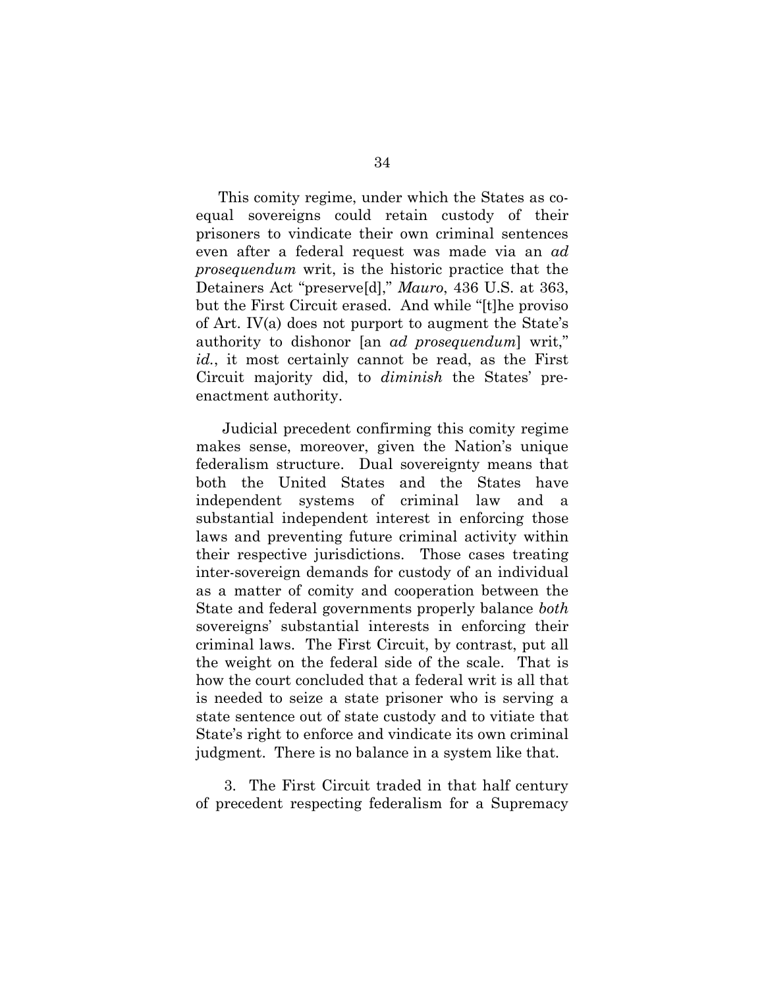This comity regime, under which the States as coequal sovereigns could retain custody of their prisoners to vindicate their own criminal sentences even after a federal request was made via an *ad prosequendum* writ, is the historic practice that the Detainers Act "preserve[d]," *Mauro*, 436 U.S. at 363, but the First Circuit erased. And while "[t]he proviso of Art. IV(a) does not purport to augment the State's authority to dishonor [an *ad prosequendum*] writ," *id.*, it most certainly cannot be read, as the First Circuit majority did, to *diminish* the States' preenactment authority.

Judicial precedent confirming this comity regime makes sense, moreover, given the Nation's unique federalism structure. Dual sovereignty means that both the United States and the States have independent systems of criminal law and a substantial independent interest in enforcing those laws and preventing future criminal activity within their respective jurisdictions. Those cases treating inter-sovereign demands for custody of an individual as a matter of comity and cooperation between the State and federal governments properly balance *both* sovereigns' substantial interests in enforcing their criminal laws. The First Circuit, by contrast, put all the weight on the federal side of the scale. That is how the court concluded that a federal writ is all that is needed to seize a state prisoner who is serving a state sentence out of state custody and to vitiate that State's right to enforce and vindicate its own criminal judgment. There is no balance in a system like that.

3. The First Circuit traded in that half century of precedent respecting federalism for a Supremacy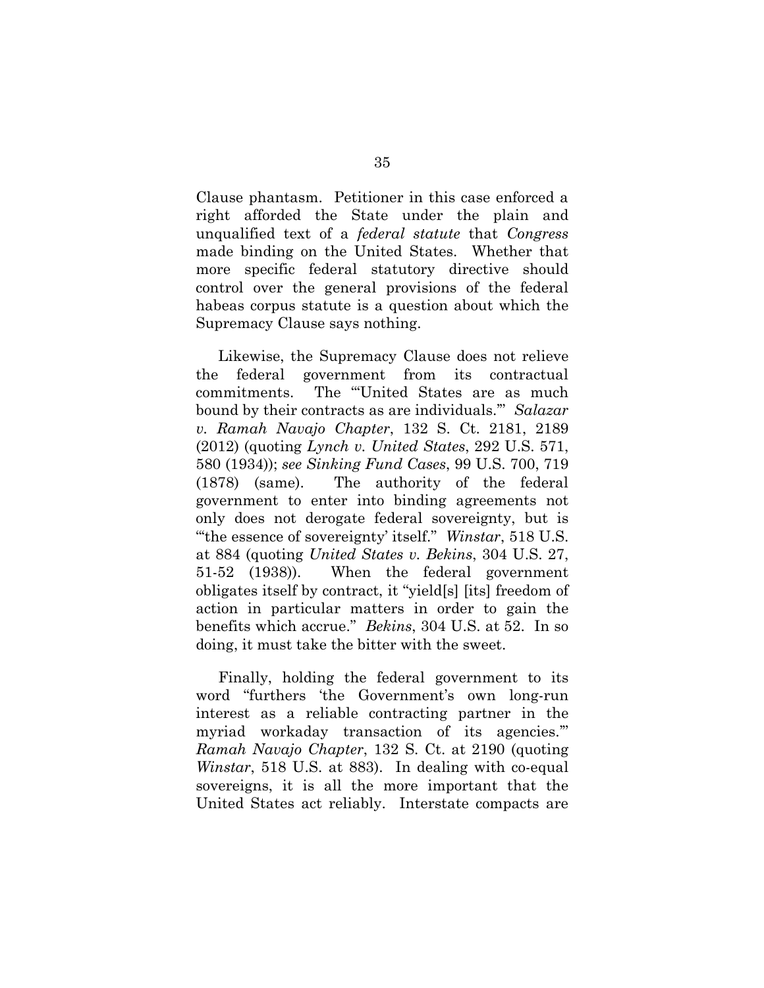Clause phantasm. Petitioner in this case enforced a right afforded the State under the plain and unqualified text of a *federal statute* that *Congress*  made binding on the United States. Whether that more specific federal statutory directive should control over the general provisions of the federal habeas corpus statute is a question about which the Supremacy Clause says nothing.

Likewise, the Supremacy Clause does not relieve the federal government from its contractual commitments. The "'United States are as much bound by their contracts as are individuals.'" *Salazar v. Ramah Navajo Chapter*, 132 S. Ct. 2181, 2189 (2012) (quoting *Lynch v. United States*, 292 U.S. 571, 580 (1934)); *see Sinking Fund Cases*, 99 U.S. 700, 719 (1878) (same). The authority of the federal government to enter into binding agreements not only does not derogate federal sovereignty, but is "'the essence of sovereignty' itself." *Winstar*, 518 U.S. at 884 (quoting *United States v. Bekins*, 304 U.S. 27, 51-52 (1938)). When the federal government obligates itself by contract, it "yield[s] [its] freedom of action in particular matters in order to gain the benefits which accrue." *Bekins*, 304 U.S. at 52. In so doing, it must take the bitter with the sweet.

Finally, holding the federal government to its word "furthers 'the Government's own long-run interest as a reliable contracting partner in the myriad workaday transaction of its agencies.'" *Ramah Navajo Chapter*, 132 S. Ct. at 2190 (quoting *Winstar*, 518 U.S. at 883). In dealing with co-equal sovereigns, it is all the more important that the United States act reliably. Interstate compacts are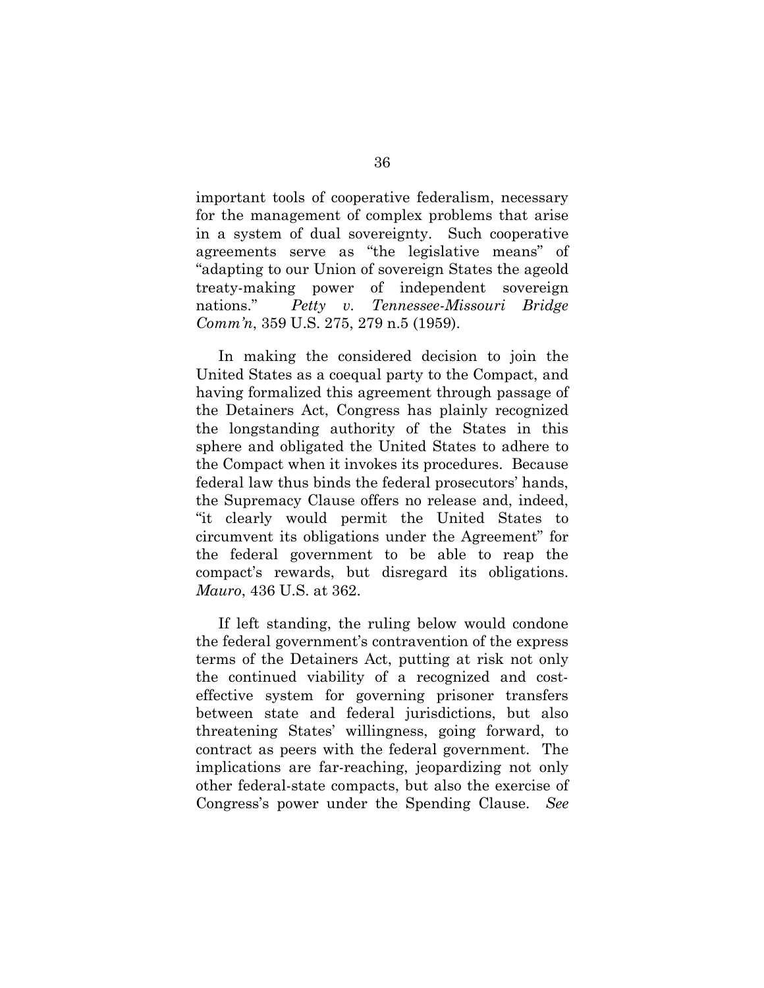important tools of cooperative federalism, necessary for the management of complex problems that arise in a system of dual sovereignty. Such cooperative agreements serve as "the legislative means" of "adapting to our Union of sovereign States the ageold treaty-making power of independent sovereign nations." *Petty v. Tennessee-Missouri Bridge Comm'n*, 359 U.S. 275, 279 n.5 (1959).

In making the considered decision to join the United States as a coequal party to the Compact, and having formalized this agreement through passage of the Detainers Act, Congress has plainly recognized the longstanding authority of the States in this sphere and obligated the United States to adhere to the Compact when it invokes its procedures. Because federal law thus binds the federal prosecutors' hands, the Supremacy Clause offers no release and, indeed, "it clearly would permit the United States to circumvent its obligations under the Agreement" for the federal government to be able to reap the compact's rewards, but disregard its obligations. *Mauro*, 436 U.S. at 362.

If left standing, the ruling below would condone the federal government's contravention of the express terms of the Detainers Act, putting at risk not only the continued viability of a recognized and costeffective system for governing prisoner transfers between state and federal jurisdictions, but also threatening States' willingness, going forward, to contract as peers with the federal government. The implications are far-reaching, jeopardizing not only other federal-state compacts, but also the exercise of Congress's power under the Spending Clause. *See*